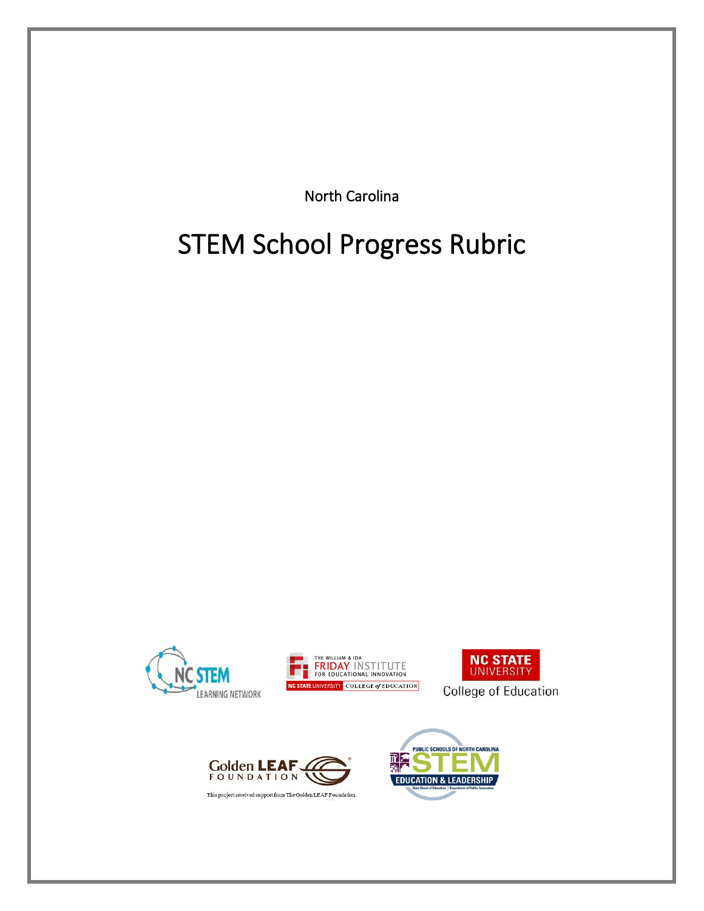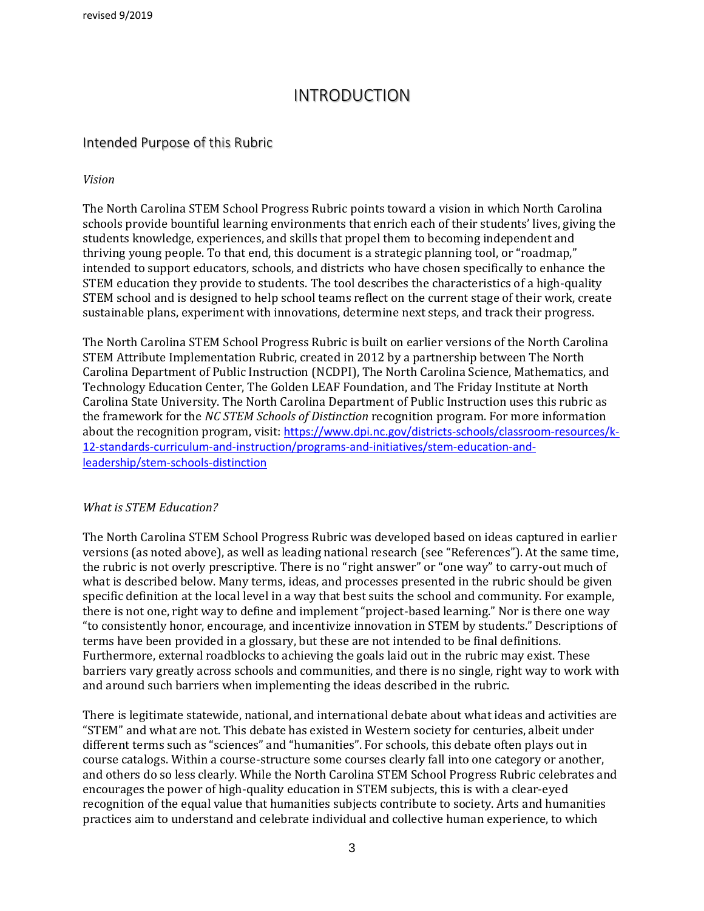revised 9/2019

## INTRODUCTION

#### Intended Purpose of this Rubric

#### *Vision*

The North Carolina STEM School Progress Rubric points toward a vision in which North Carolina schools provide bountiful learning environments that enrich each of their students' lives, giving the students knowledge, experiences, and skills that propel them to becoming independent and thriving young people. To that end, this document is a strategic planning tool, or "roadmap," intended to support educators, schools, and districts who have chosen specifically to enhance the STEM education they provide to students. The tool describes the characteristics of a high-quality STEM school and is designed to help school teams reflect on the current stage of their work, create sustainable plans, experiment with innovations, determine next steps, and track their progress.

The North Carolina STEM School Progress Rubric is built on earlier versions of the North Carolina STEM Attribute Implementation Rubric, created in 2012 by a partnership between The North Carolina Department of Public Instruction (NCDPI), The North Carolina Science, Mathematics, and Technology Education Center, The Golden LEAF Foundation, and The Friday Institute at North Carolina State University. The North Carolina Department of Public Instruction uses this rubric as the framework for the *NC STEM Schools of Distinction* recognition program. For more information about the recognition program, visit: [https://www.dpi.nc.gov/districts-schools/classroom-resources/k-](https://www.dpi.nc.gov/districts-schools/classroom-resources/k-12-standards-curriculum-and-instruction/programs-and-initiatives/stem-education-and-leadership/stem-schools-distinction)[12-standards-curriculum-and-instruction/programs-and-initiatives/stem-education-and](https://www.dpi.nc.gov/districts-schools/classroom-resources/k-12-standards-curriculum-and-instruction/programs-and-initiatives/stem-education-and-leadership/stem-schools-distinction)[leadership/stem-schools-distinction](https://www.dpi.nc.gov/districts-schools/classroom-resources/k-12-standards-curriculum-and-instruction/programs-and-initiatives/stem-education-and-leadership/stem-schools-distinction)

#### *What is STEM Education?*

The North Carolina STEM School Progress Rubric was developed based on ideas captured in earlier versions (as noted above), as well as leading national research (see "References"). At the same time, the rubric is not overly prescriptive. There is no "right answer" or "one way" to carry-out much of what is described below. Many terms, ideas, and processes presented in the rubric should be given specific definition at the local level in a way that best suits the school and community. For example, there is not one, right way to define and implement "project-based learning." Nor is there one way "to consistently honor, encourage, and incentivize innovation in STEM by students." Descriptions of terms have been provided in a glossary, but these are not intended to be final definitions. Furthermore, external roadblocks to achieving the goals laid out in the rubric may exist. These barriers vary greatly across schools and communities, and there is no single, right way to work with and around such barriers when implementing the ideas described in the rubric.

There is legitimate statewide, national, and international debate about what ideas and activities are "STEM" and what are not. This debate has existed in Western society for centuries, albeit under different terms such as "sciences" and "humanities". For schools, this debate often plays out in course catalogs. Within a course-structure some courses clearly fall into one category or another, and others do so less clearly. While the North Carolina STEM School Progress Rubric celebrates and encourages the power of high-quality education in STEM subjects, this is with a clear-eyed recognition of the equal value that humanities subjects contribute to society. Arts and humanities practices aim to understand and celebrate individual and collective human experience, to which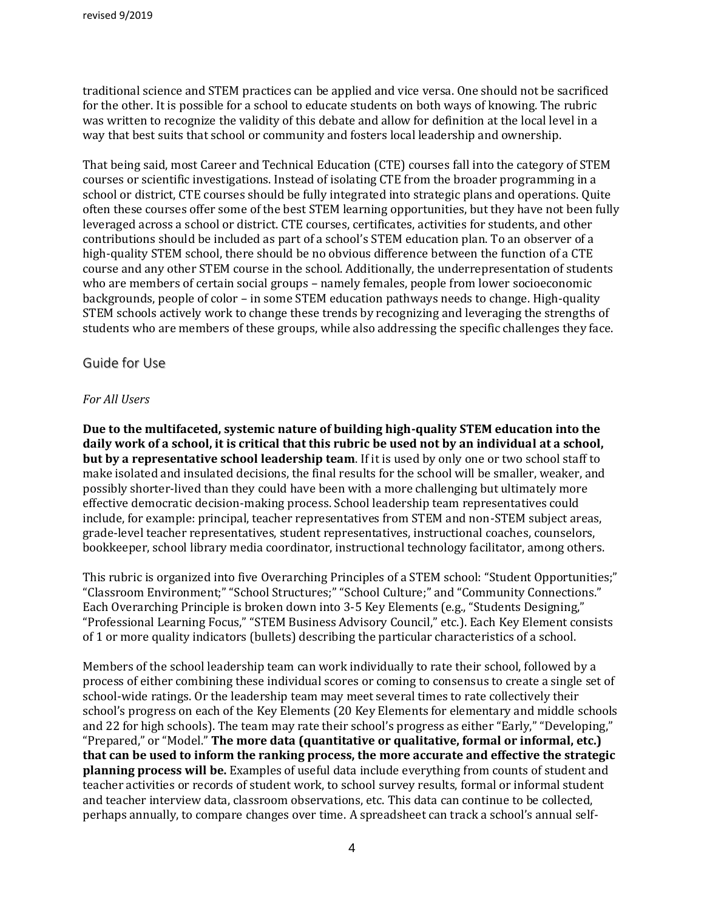traditional science and STEM practices can be applied and vice versa. One should not be sacrificed for the other. It is possible for a school to educate students on both ways of knowing. The rubric was written to recognize the validity of this debate and allow for definition at the local level in a way that best suits that school or community and fosters local leadership and ownership.

That being said, most Career and Technical Education (CTE) courses fall into the category of STEM courses or scientific investigations. Instead of isolating CTE from the broader programming in a school or district, CTE courses should be fully integrated into strategic plans and operations. Quite often these courses offer some of the best STEM learning opportunities, but they have not been fully leveraged across a school or district. CTE courses, certificates, activities for students, and other contributions should be included as part of a school's STEM education plan. To an observer of a high-quality STEM school, there should be no obvious difference between the function of a CTE course and any other STEM course in the school. Additionally, the underrepresentation of students who are members of certain social groups – namely females, people from lower socioeconomic backgrounds, people of color – in some STEM education pathways needs to change. High-quality STEM schools actively work to change these trends by recognizing and leveraging the strengths of students who are members of these groups, while also addressing the specific challenges they face.

#### Guide for Use

#### *For All Users*

**Due to the multifaceted, systemic nature of building high-quality STEM education into the daily work of a school, it is critical that this rubric be used not by an individual at a school, but by a representative school leadership team**. If it is used by only one or two school staff to make isolated and insulated decisions, the final results for the school will be smaller, weaker, and possibly shorter-lived than they could have been with a more challenging but ultimately more effective democratic decision-making process. School leadership team representatives could include, for example: principal, teacher representatives from STEM and non-STEM subject areas, grade-level teacher representatives, student representatives, instructional coaches, counselors, bookkeeper, school library media coordinator, instructional technology facilitator, among others.

This rubric is organized into five Overarching Principles of a STEM school: "Student Opportunities;" "Classroom Environment;" "School Structures;" "School Culture;" and "Community Connections." Each Overarching Principle is broken down into 3-5 Key Elements (e.g., "Students Designing," "Professional Learning Focus," "STEM Business Advisory Council," etc.). Each Key Element consists of 1 or more quality indicators (bullets) describing the particular characteristics of a school.

Members of the school leadership team can work individually to rate their school, followed by a process of either combining these individual scores or coming to consensus to create a single set of school-wide ratings. Or the leadership team may meet several times to rate collectively their school's progress on each of the Key Elements (20 Key Elements for elementary and middle schools and 22 for high schools). The team may rate their school's progress as either "Early," "Developing," "Prepared," or "Model." **The more data (quantitative or qualitative, formal or informal, etc.) that can be used to inform the ranking process, the more accurate and effective the strategic planning process will be.** Examples of useful data include everything from counts of student and teacher activities or records of student work, to school survey results, formal or informal student and teacher interview data, classroom observations, etc. This data can continue to be collected, perhaps annually, to compare changes over time. A spreadsheet can track a school's annual self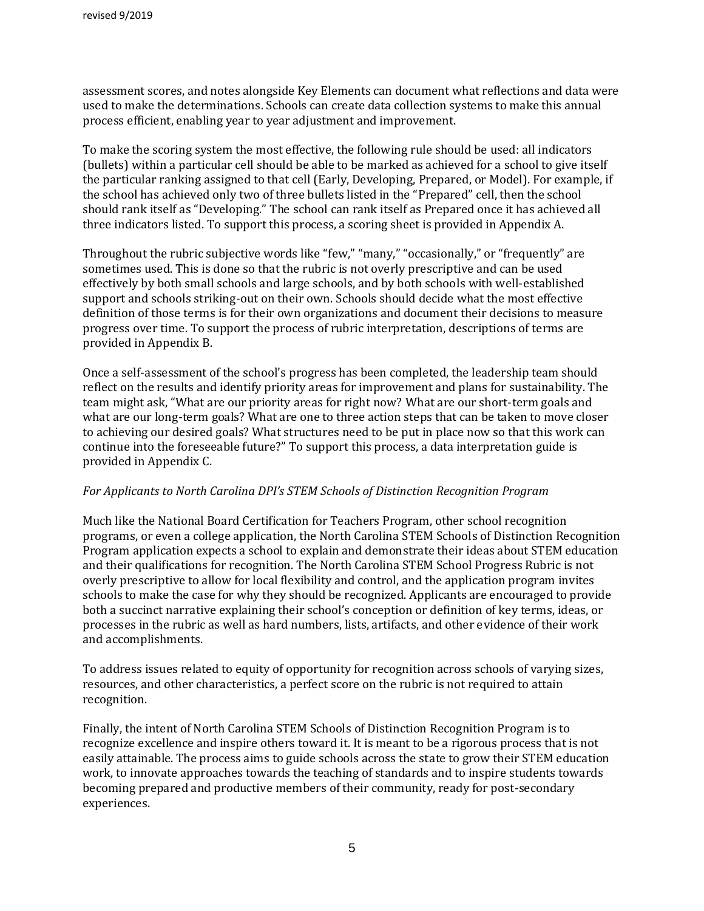assessment scores, and notes alongside Key Elements can document what reflections and data were used to make the determinations. Schools can create data collection systems to make this annual process efficient, enabling year to year adjustment and improvement.

To make the scoring system the most effective, the following rule should be used: all indicators (bullets) within a particular cell should be able to be marked as achieved for a school to give itself the particular ranking assigned to that cell (Early, Developing, Prepared, or Model). For example, if the school has achieved only two of three bullets listed in the "Prepared" cell, then the school should rank itself as "Developing." The school can rank itself as Prepared once it has achieved all three indicators listed. To support this process, a scoring sheet is provided in Appendix A.

Throughout the rubric subjective words like "few," "many," "occasionally," or "frequently" are sometimes used. This is done so that the rubric is not overly prescriptive and can be used effectively by both small schools and large schools, and by both schools with well-established support and schools striking-out on their own. Schools should decide what the most effective definition of those terms is for their own organizations and document their decisions to measure progress over time. To support the process of rubric interpretation, descriptions of terms are provided in Appendix B.

Once a self-assessment of the school's progress has been completed, the leadership team should reflect on the results and identify priority areas for improvement and plans for sustainability. The team might ask, "What are our priority areas for right now? What are our short-term goals and what are our long-term goals? What are one to three action steps that can be taken to move closer to achieving our desired goals? What structures need to be put in place now so that this work can continue into the foreseeable future?" To support this process, a data interpretation guide is provided in Appendix C.

#### *For Applicants to North Carolina DPI's STEM Schools of Distinction Recognition Program*

Much like the National Board Certification for Teachers Program, other school recognition programs, or even a college application, the North Carolina STEM Schools of Distinction Recognition Program application expects a school to explain and demonstrate their ideas about STEM education and their qualifications for recognition. The North Carolina STEM School Progress Rubric is not overly prescriptive to allow for local flexibility and control, and the application program invites schools to make the case for why they should be recognized. Applicants are encouraged to provide both a succinct narrative explaining their school's conception or definition of key terms, ideas, or processes in the rubric as well as hard numbers, lists, artifacts, and other evidence of their work and accomplishments.

To address issues related to equity of opportunity for recognition across schools of varying sizes, resources, and other characteristics, a perfect score on the rubric is not required to attain recognition.

Finally, the intent of North Carolina STEM Schools of Distinction Recognition Program is to recognize excellence and inspire others toward it. It is meant to be a rigorous process that is not easily attainable. The process aims to guide schools across the state to grow their STEM education work, to innovate approaches towards the teaching of standards and to inspire students towards becoming prepared and productive members of their community, ready for post-secondary experiences.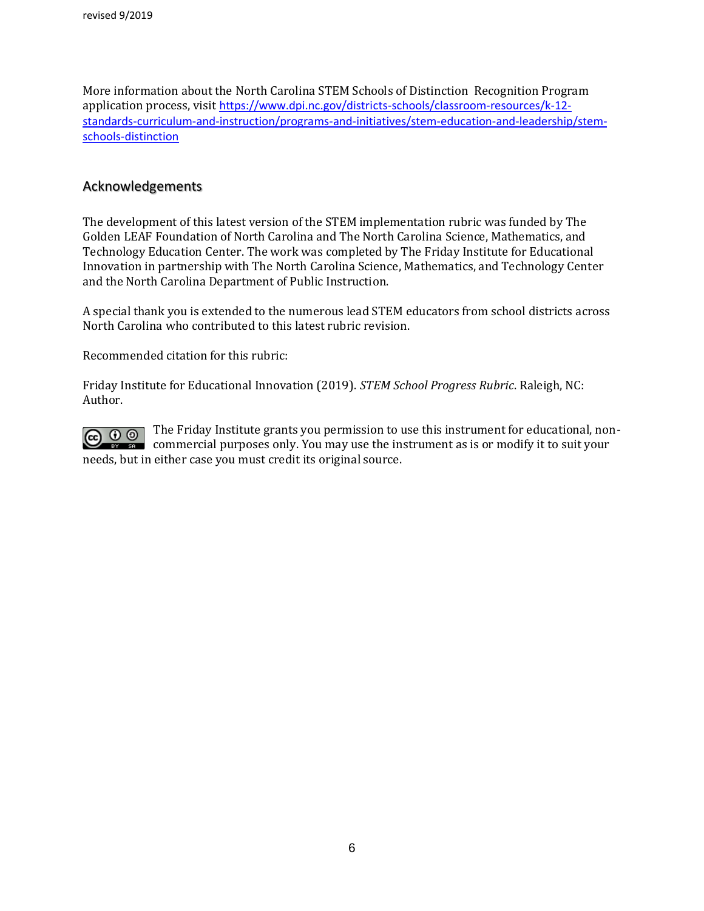More information about the North Carolina STEM Schools of Distinction Recognition Program application process, visit [https://www.dpi.nc.gov/districts-schools/classroom-resources/k-12](https://www.dpi.nc.gov/districts-schools/classroom-resources/k-12-standards-curriculum-and-instruction/programs-and-initiatives/stem-education-and-leadership/stem-schools-distinction) [standards-curriculum-and-instruction/programs-and-initiatives/stem-education-and-leadership/stem](https://www.dpi.nc.gov/districts-schools/classroom-resources/k-12-standards-curriculum-and-instruction/programs-and-initiatives/stem-education-and-leadership/stem-schools-distinction)[schools-distinction](https://www.dpi.nc.gov/districts-schools/classroom-resources/k-12-standards-curriculum-and-instruction/programs-and-initiatives/stem-education-and-leadership/stem-schools-distinction)

#### Acknowledgements

The development of this latest version of the STEM implementation rubric was funded by The Golden LEAF Foundation of North Carolina and The North Carolina Science, Mathematics, and Technology Education Center. The work was completed by The Friday Institute for Educational Innovation in partnership with The North Carolina Science, Mathematics, and Technology Center and the North Carolina Department of Public Instruction.

A special thank you is extended to the numerous lead STEM educators from school districts across North Carolina who contributed to this latest rubric revision.

Recommended citation for this rubric:

Friday Institute for Educational Innovation (2019). *STEM School Progress Rubric*. Raleigh, NC: Author.

 $\boxed{\text{c}}$   $\boxed{0$   $\boxed{\text{o}}$  The Friday Institute grants you permission to use this instrument for educational, noncommercial purposes only. You may use the instrument as is or modify it to suit your needs, but in either case you must credit its original source.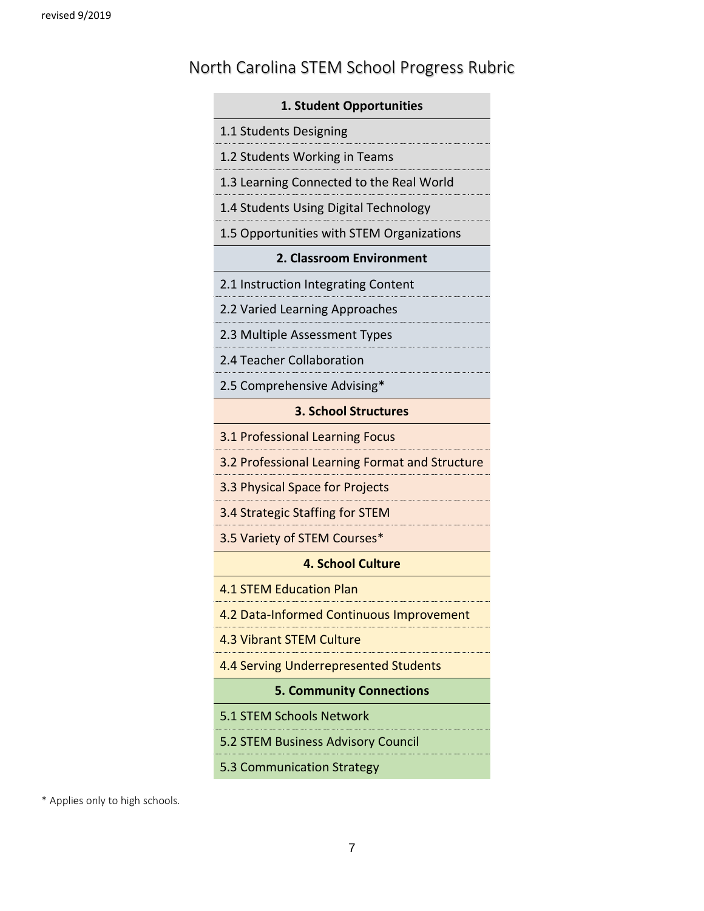# North Carolina STEM School Progress Rubric

| 1. Student Opportunities                         |
|--------------------------------------------------|
| 1.1 Students Designing                           |
| 1.2 Students Working in Teams                    |
| 1.3 Learning Connected to the Real World         |
| 1.4 Students Using Digital Technology            |
| 1.5 Opportunities with STEM Organizations        |
| 2. Classroom Environment                         |
| 2.1 Instruction Integrating Content              |
| 2.2 Varied Learning Approaches                   |
| 2.3 Multiple Assessment Types                    |
| 2.4 Teacher Collaboration                        |
| 2.5 Comprehensive Advising*                      |
| <b>3. School Structures</b>                      |
| 3.1 Professional Learning Focus                  |
| 3.2 Professional Learning Format and Structure   |
| 3.3 Physical Space for Projects                  |
| 3.4 Strategic Staffing for STEM                  |
| 3.5 Variety of STEM Courses*                     |
| <b>4. School Culture</b>                         |
| <b>4.1 STEM Education Plan</b>                   |
| <mark>)ata-Informed Continuous Improvem</mark> e |
| 4.3 Vibrant STEM Culture                         |
| 4.4 Serving Underrepresented Students            |
| <b>5. Community Connections</b>                  |
| 5.1 STEM Schools Network                         |
| 5.2 STEM Business Advisory Council               |
| 5.3 Communication Strategy                       |

\* Applies only to high schools.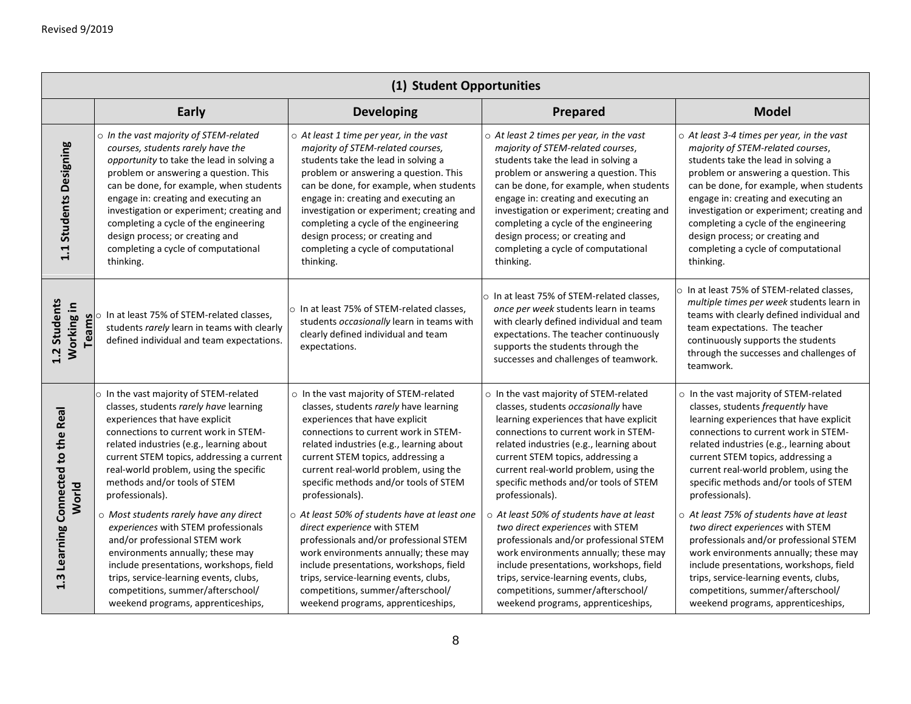|                                             | (1) Student Opportunities                                                                                                                                                                                                                                                                                                                                                                                                                                                                                                                                                                   |                                                                                                                                                                                                                                                                                                                                                                                                                                                                                                                                                                                                         |                                                                                                                                                                                                                                                                                                                                                                                                                                                                                                                                                                                                                |                                                                                                                                                                                                                                                                                                                                                                                                                                                                                                                                                                                                              |  |
|---------------------------------------------|---------------------------------------------------------------------------------------------------------------------------------------------------------------------------------------------------------------------------------------------------------------------------------------------------------------------------------------------------------------------------------------------------------------------------------------------------------------------------------------------------------------------------------------------------------------------------------------------|---------------------------------------------------------------------------------------------------------------------------------------------------------------------------------------------------------------------------------------------------------------------------------------------------------------------------------------------------------------------------------------------------------------------------------------------------------------------------------------------------------------------------------------------------------------------------------------------------------|----------------------------------------------------------------------------------------------------------------------------------------------------------------------------------------------------------------------------------------------------------------------------------------------------------------------------------------------------------------------------------------------------------------------------------------------------------------------------------------------------------------------------------------------------------------------------------------------------------------|--------------------------------------------------------------------------------------------------------------------------------------------------------------------------------------------------------------------------------------------------------------------------------------------------------------------------------------------------------------------------------------------------------------------------------------------------------------------------------------------------------------------------------------------------------------------------------------------------------------|--|
|                                             | Early                                                                                                                                                                                                                                                                                                                                                                                                                                                                                                                                                                                       | <b>Developing</b>                                                                                                                                                                                                                                                                                                                                                                                                                                                                                                                                                                                       | Prepared                                                                                                                                                                                                                                                                                                                                                                                                                                                                                                                                                                                                       | <b>Model</b>                                                                                                                                                                                                                                                                                                                                                                                                                                                                                                                                                                                                 |  |
| 1.1 Students Designing                      | o In the vast majority of STEM-related<br>courses, students rarely have the<br>opportunity to take the lead in solving a<br>problem or answering a question. This<br>can be done, for example, when students<br>engage in: creating and executing an<br>investigation or experiment; creating and<br>completing a cycle of the engineering<br>design process; or creating and<br>completing a cycle of computational<br>thinking.                                                                                                                                                           | $\circ$ At least 1 time per year, in the vast<br>majority of STEM-related courses,<br>students take the lead in solving a<br>problem or answering a question. This<br>can be done, for example, when students<br>engage in: creating and executing an<br>investigation or experiment; creating and<br>completing a cycle of the engineering<br>design process; or creating and<br>completing a cycle of computational<br>thinking.                                                                                                                                                                      | $\circ$ At least 2 times per year, in the vast<br>majority of STEM-related courses,<br>students take the lead in solving a<br>problem or answering a question. This<br>can be done, for example, when students<br>engage in: creating and executing an<br>investigation or experiment; creating and<br>completing a cycle of the engineering<br>design process; or creating and<br>completing a cycle of computational<br>thinking.                                                                                                                                                                            | $\circ$ At least 3-4 times per year, in the vast<br>majority of STEM-related courses,<br>students take the lead in solving a<br>problem or answering a question. This<br>can be done, for example, when students<br>engage in: creating and executing an<br>investigation or experiment; creating and<br>completing a cycle of the engineering<br>design process; or creating and<br>completing a cycle of computational<br>thinking.                                                                                                                                                                        |  |
| 1.2 Students<br>Working in                  | I at least 75% of STEM-related classes,<br>students <i>rarely</i> learn in teams with clearly<br>defined individual and team expertation<br>students rarely learn in teams with clearly<br>defined individual and team expectations.                                                                                                                                                                                                                                                                                                                                                        | o In at least 75% of STEM-related classes.<br>students occasionally learn in teams with<br>clearly defined individual and team<br>expectations.                                                                                                                                                                                                                                                                                                                                                                                                                                                         | o In at least 75% of STEM-related classes,<br>once per week students learn in teams<br>with clearly defined individual and team<br>expectations. The teacher continuously<br>supports the students through the<br>successes and challenges of teamwork.                                                                                                                                                                                                                                                                                                                                                        | $\circ$ In at least 75% of STEM-related classes.<br>multiple times per week students learn in<br>teams with clearly defined individual and<br>team expectations. The teacher<br>continuously supports the students<br>through the successes and challenges of<br>teamwork.                                                                                                                                                                                                                                                                                                                                   |  |
| 1.3 Learning Connected to the Real<br>World | o In the vast majority of STEM-related<br>classes, students rarely have learning<br>experiences that have explicit<br>connections to current work in STEM-<br>related industries (e.g., learning about<br>current STEM topics, addressing a current<br>real-world problem, using the specific<br>methods and/or tools of STEM<br>professionals).<br>o Most students rarely have any direct<br>experiences with STEM professionals<br>and/or professional STEM work<br>environments annually; these may<br>include presentations, workshops, field<br>trips, service-learning events, clubs, | o In the vast majority of STEM-related<br>classes, students rarely have learning<br>experiences that have explicit<br>connections to current work in STEM-<br>related industries (e.g., learning about<br>current STEM topics, addressing a<br>current real-world problem, using the<br>specific methods and/or tools of STEM<br>professionals).<br>o At least 50% of students have at least one<br>direct experience with STEM<br>professionals and/or professional STEM<br>work environments annually; these may<br>include presentations, workshops, field<br>trips, service-learning events, clubs, | o In the vast majority of STEM-related<br>classes, students occasionally have<br>learning experiences that have explicit<br>connections to current work in STEM-<br>related industries (e.g., learning about<br>current STEM topics, addressing a<br>current real-world problem, using the<br>specific methods and/or tools of STEM<br>professionals).<br>o At least 50% of students have at least<br>two direct experiences with STEM<br>professionals and/or professional STEM<br>work environments annually; these may<br>include presentations, workshops, field<br>trips, service-learning events, clubs, | o In the vast majority of STEM-related<br>classes, students frequently have<br>learning experiences that have explicit<br>connections to current work in STEM-<br>related industries (e.g., learning about<br>current STEM topics, addressing a<br>current real-world problem, using the<br>specific methods and/or tools of STEM<br>professionals).<br>o At least 75% of students have at least<br>two direct experiences with STEM<br>professionals and/or professional STEM<br>work environments annually; these may<br>include presentations, workshops, field<br>trips, service-learning events, clubs, |  |
|                                             | competitions, summer/afterschool/<br>weekend programs, apprenticeships,                                                                                                                                                                                                                                                                                                                                                                                                                                                                                                                     | competitions, summer/afterschool/<br>weekend programs, apprenticeships,                                                                                                                                                                                                                                                                                                                                                                                                                                                                                                                                 | competitions, summer/afterschool/<br>weekend programs, apprenticeships,                                                                                                                                                                                                                                                                                                                                                                                                                                                                                                                                        | competitions, summer/afterschool/<br>weekend programs, apprenticeships,                                                                                                                                                                                                                                                                                                                                                                                                                                                                                                                                      |  |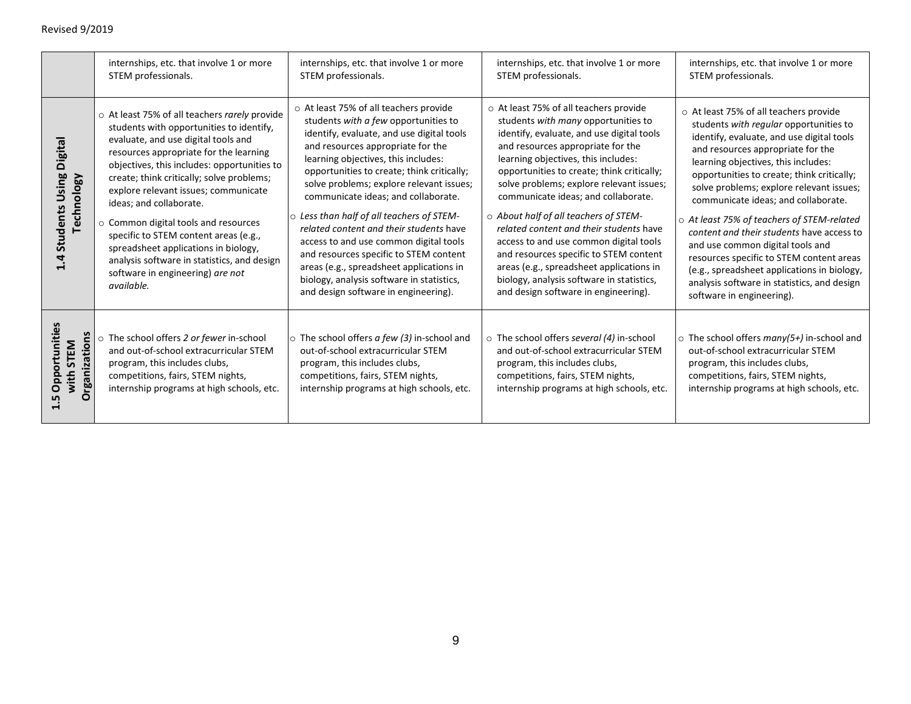|                                             | internships, etc. that involve 1 or more                                                                                                                                                                                                                                                                                                                                                                                                                                                                                                                            | internships, etc. that involve 1 or more                                                                                                                                                                                                                                                                                                                                                                                                                                                                                                                                                                                                              | internships, etc. that involve 1 or more                                                                                                                                                                                                                                                                                                                                                                                                                                                                                                                                                                                                         | internships, etc. that involve 1 or more                                                                                                                                                                                                                                                                                                                                                                                                                                                                                                                                                                                                         |
|---------------------------------------------|---------------------------------------------------------------------------------------------------------------------------------------------------------------------------------------------------------------------------------------------------------------------------------------------------------------------------------------------------------------------------------------------------------------------------------------------------------------------------------------------------------------------------------------------------------------------|-------------------------------------------------------------------------------------------------------------------------------------------------------------------------------------------------------------------------------------------------------------------------------------------------------------------------------------------------------------------------------------------------------------------------------------------------------------------------------------------------------------------------------------------------------------------------------------------------------------------------------------------------------|--------------------------------------------------------------------------------------------------------------------------------------------------------------------------------------------------------------------------------------------------------------------------------------------------------------------------------------------------------------------------------------------------------------------------------------------------------------------------------------------------------------------------------------------------------------------------------------------------------------------------------------------------|--------------------------------------------------------------------------------------------------------------------------------------------------------------------------------------------------------------------------------------------------------------------------------------------------------------------------------------------------------------------------------------------------------------------------------------------------------------------------------------------------------------------------------------------------------------------------------------------------------------------------------------------------|
|                                             | STEM professionals.                                                                                                                                                                                                                                                                                                                                                                                                                                                                                                                                                 | STEM professionals.                                                                                                                                                                                                                                                                                                                                                                                                                                                                                                                                                                                                                                   | STEM professionals.                                                                                                                                                                                                                                                                                                                                                                                                                                                                                                                                                                                                                              | STEM professionals.                                                                                                                                                                                                                                                                                                                                                                                                                                                                                                                                                                                                                              |
| Using Digital<br>Technology<br>1.4 Students | o At least 75% of all teachers rarely provide<br>students with opportunities to identify,<br>evaluate, and use digital tools and<br>resources appropriate for the learning<br>objectives, this includes: opportunities to<br>create; think critically; solve problems;<br>explore relevant issues; communicate<br>ideas; and collaborate.<br>o Common digital tools and resources<br>specific to STEM content areas (e.g.,<br>spreadsheet applications in biology,<br>analysis software in statistics, and design<br>software in engineering) are not<br>available. | ○ At least 75% of all teachers provide<br>students with a few opportunities to<br>identify, evaluate, and use digital tools<br>and resources appropriate for the<br>learning objectives, this includes:<br>opportunities to create; think critically;<br>solve problems; explore relevant issues;<br>communicate ideas; and collaborate.<br>○ Less than half of all teachers of STEM-<br>related content and their students have<br>access to and use common digital tools<br>and resources specific to STEM content<br>areas (e.g., spreadsheet applications in<br>biology, analysis software in statistics,<br>and design software in engineering). | o At least 75% of all teachers provide<br>students with many opportunities to<br>identify, evaluate, and use digital tools<br>and resources appropriate for the<br>learning objectives, this includes:<br>opportunities to create; think critically;<br>solve problems; explore relevant issues;<br>communicate ideas; and collaborate.<br>o About half of all teachers of STEM-<br>related content and their students have<br>access to and use common digital tools<br>and resources specific to STEM content<br>areas (e.g., spreadsheet applications in<br>biology, analysis software in statistics,<br>and design software in engineering). | o At least 75% of all teachers provide<br>students with regular opportunities to<br>identify, evaluate, and use digital tools<br>and resources appropriate for the<br>learning objectives, this includes:<br>opportunities to create; think critically;<br>solve problems; explore relevant issues;<br>communicate ideas; and collaborate.<br>o At least 75% of teachers of STEM-related<br>content and their students have access to<br>and use common digital tools and<br>resources specific to STEM content areas<br>(e.g., spreadsheet applications in biology,<br>analysis software in statistics, and design<br>software in engineering). |
| <b>Organizations</b>                        | o The school offers 2 or fewer in-school                                                                                                                                                                                                                                                                                                                                                                                                                                                                                                                            | $\circ$ The school offers a few (3) in-school and                                                                                                                                                                                                                                                                                                                                                                                                                                                                                                                                                                                                     | $\circ$ The school offers several (4) in-school                                                                                                                                                                                                                                                                                                                                                                                                                                                                                                                                                                                                  | $\circ$ The school offers many(5+) in-school and                                                                                                                                                                                                                                                                                                                                                                                                                                                                                                                                                                                                 |
| rtuniti                                     | and out-of-school extracurricular STEM                                                                                                                                                                                                                                                                                                                                                                                                                                                                                                                              | out-of-school extracurricular STEM                                                                                                                                                                                                                                                                                                                                                                                                                                                                                                                                                                                                                    | and out-of-school extracurricular STEM                                                                                                                                                                                                                                                                                                                                                                                                                                                                                                                                                                                                           | out-of-school extracurricular STEM                                                                                                                                                                                                                                                                                                                                                                                                                                                                                                                                                                                                               |
| with STEM                                   | program, this includes clubs,                                                                                                                                                                                                                                                                                                                                                                                                                                                                                                                                       | program, this includes clubs,                                                                                                                                                                                                                                                                                                                                                                                                                                                                                                                                                                                                                         | program, this includes clubs,                                                                                                                                                                                                                                                                                                                                                                                                                                                                                                                                                                                                                    | program, this includes clubs,                                                                                                                                                                                                                                                                                                                                                                                                                                                                                                                                                                                                                    |
| Oppor                                       | competitions, fairs, STEM nights,                                                                                                                                                                                                                                                                                                                                                                                                                                                                                                                                   | competitions, fairs, STEM nights,                                                                                                                                                                                                                                                                                                                                                                                                                                                                                                                                                                                                                     | competitions, fairs, STEM nights,                                                                                                                                                                                                                                                                                                                                                                                                                                                                                                                                                                                                                | competitions, fairs, STEM nights,                                                                                                                                                                                                                                                                                                                                                                                                                                                                                                                                                                                                                |
| ี<br>1.5                                    | internship programs at high schools, etc.                                                                                                                                                                                                                                                                                                                                                                                                                                                                                                                           | internship programs at high schools, etc.                                                                                                                                                                                                                                                                                                                                                                                                                                                                                                                                                                                                             | internship programs at high schools, etc.                                                                                                                                                                                                                                                                                                                                                                                                                                                                                                                                                                                                        | internship programs at high schools, etc.                                                                                                                                                                                                                                                                                                                                                                                                                                                                                                                                                                                                        |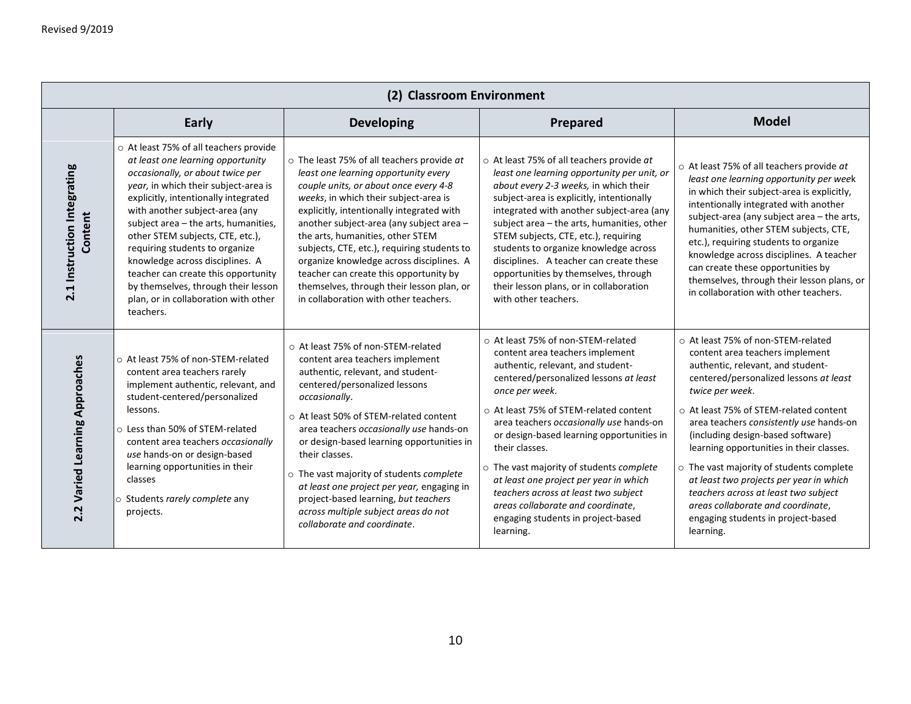| (2) Classroom Environment              |                                                                                                                                                                                                                                                                                                                                                                                                                                                                                                                       |                                                                                                                                                                                                                                                                                                                                                                                                                                                                                                                                    |                                                                                                                                                                                                                                                                                                                                                                                                                                                                                                                                                        |                                                                                                                                                                                                                                                                                                                                                                                                                                                                                                                                                                            |  |
|----------------------------------------|-----------------------------------------------------------------------------------------------------------------------------------------------------------------------------------------------------------------------------------------------------------------------------------------------------------------------------------------------------------------------------------------------------------------------------------------------------------------------------------------------------------------------|------------------------------------------------------------------------------------------------------------------------------------------------------------------------------------------------------------------------------------------------------------------------------------------------------------------------------------------------------------------------------------------------------------------------------------------------------------------------------------------------------------------------------------|--------------------------------------------------------------------------------------------------------------------------------------------------------------------------------------------------------------------------------------------------------------------------------------------------------------------------------------------------------------------------------------------------------------------------------------------------------------------------------------------------------------------------------------------------------|----------------------------------------------------------------------------------------------------------------------------------------------------------------------------------------------------------------------------------------------------------------------------------------------------------------------------------------------------------------------------------------------------------------------------------------------------------------------------------------------------------------------------------------------------------------------------|--|
|                                        | <b>Early</b>                                                                                                                                                                                                                                                                                                                                                                                                                                                                                                          | <b>Developing</b>                                                                                                                                                                                                                                                                                                                                                                                                                                                                                                                  | Prepared                                                                                                                                                                                                                                                                                                                                                                                                                                                                                                                                               | <b>Model</b>                                                                                                                                                                                                                                                                                                                                                                                                                                                                                                                                                               |  |
| 2.1 Instruction Integrating<br>Content | o At least 75% of all teachers provide<br>at least one learning opportunity<br>occasionally, or about twice per<br>year, in which their subject-area is<br>explicitly, intentionally integrated<br>with another subject-area (any<br>subject area - the arts, humanities,<br>other STEM subjects, CTE, etc.),<br>requiring students to organize<br>knowledge across disciplines. A<br>teacher can create this opportunity<br>by themselves, through their lesson<br>plan, or in collaboration with other<br>teachers. | $\circ$ The least 75% of all teachers provide at<br>least one learning opportunity every<br>couple units, or about once every 4-8<br>weeks, in which their subject-area is<br>explicitly, intentionally integrated with<br>another subject-area (any subject area -<br>the arts, humanities, other STEM<br>subjects, CTE, etc.), requiring students to<br>organize knowledge across disciplines. A<br>teacher can create this opportunity by<br>themselves, through their lesson plan, or<br>in collaboration with other teachers. | ○ At least 75% of all teachers provide at<br>least one learning opportunity per unit, or<br>about every 2-3 weeks, in which their<br>subject-area is explicitly, intentionally<br>integrated with another subject-area (any<br>subject area - the arts, humanities, other<br>STEM subjects, CTE, etc.), requiring<br>students to organize knowledge across<br>disciplines. A teacher can create these<br>opportunities by themselves, through<br>their lesson plans, or in collaboration<br>with other teachers.                                       | o At least 75% of all teachers provide at<br>least one learning opportunity per week<br>in which their subject-area is explicitly,<br>intentionally integrated with another<br>subject-area (any subject area - the arts,<br>humanities, other STEM subjects, CTE,<br>etc.), requiring students to organize<br>knowledge across disciplines. A teacher<br>can create these opportunities by<br>themselves, through their lesson plans, or<br>in collaboration with other teachers.                                                                                         |  |
| 2.2 Varied Learning Approaches         | o At least 75% of non-STEM-related<br>content area teachers rarely<br>implement authentic, relevant, and<br>student-centered/personalized<br>lessons.<br>○ Less than 50% of STEM-related<br>content area teachers occasionally<br>use hands-on or design-based<br>learning opportunities in their<br>classes<br>o Students rarely complete any<br>projects.                                                                                                                                                           | ○ At least 75% of non-STEM-related<br>content area teachers implement<br>authentic, relevant, and student-<br>centered/personalized lessons<br>occasionally.<br>○ At least 50% of STEM-related content<br>area teachers occasionally use hands-on<br>or design-based learning opportunities in<br>their classes.<br>$\circ$ The vast majority of students complete<br>at least one project per year, engaging in<br>project-based learning, but teachers<br>across multiple subject areas do not<br>collaborate and coordinate.    | o At least 75% of non-STEM-related<br>content area teachers implement<br>authentic, relevant, and student-<br>centered/personalized lessons at least<br>once per week.<br>○ At least 75% of STEM-related content<br>area teachers occasionally use hands-on<br>or design-based learning opportunities in<br>their classes.<br>$\circ$ The vast majority of students complete<br>at least one project per year in which<br>teachers across at least two subject<br>areas collaborate and coordinate,<br>engaging students in project-based<br>learning. | ○ At least 75% of non-STEM-related<br>content area teachers implement<br>authentic, relevant, and student-<br>centered/personalized lessons at least<br>twice per week.<br>○ At least 75% of STEM-related content<br>area teachers consistently use hands-on<br>(including design-based software)<br>learning opportunities in their classes.<br>$\circ$ The vast majority of students complete<br>at least two projects per year in which<br>teachers across at least two subject<br>areas collaborate and coordinate,<br>engaging students in project-based<br>learning. |  |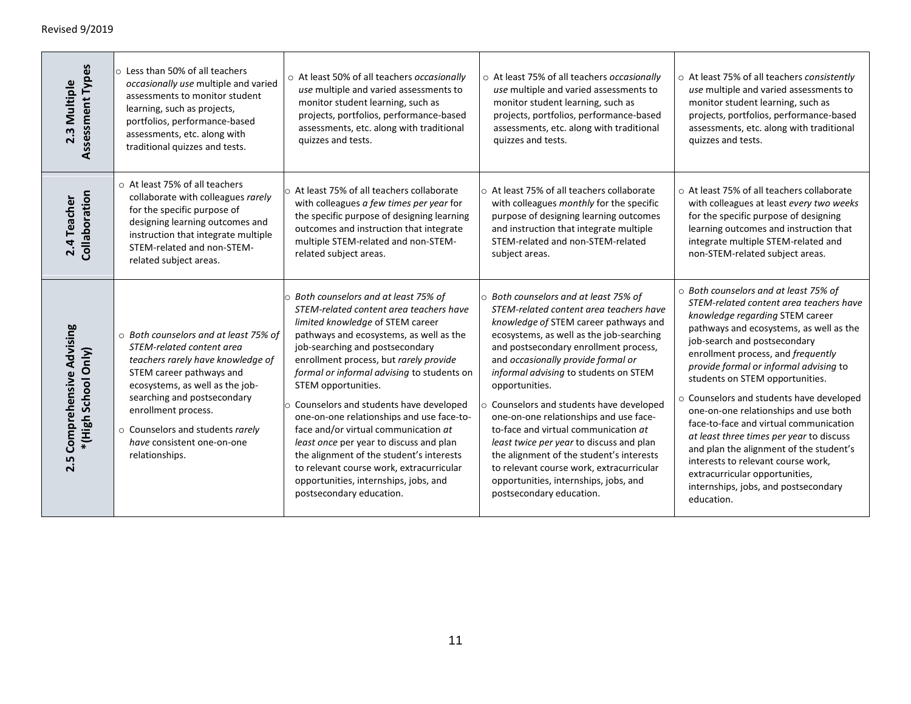| Assessment Types<br>2.3 Multiple                   | $\circ$ Less than 50% of all teachers<br>occasionally use multiple and varied<br>assessments to monitor student<br>learning, such as projects,<br>portfolios, performance-based<br>assessments, etc. along with<br>traditional quizzes and tests.                                                                | o At least 50% of all teachers occasionally<br>use multiple and varied assessments to<br>monitor student learning, such as<br>projects, portfolios, performance-based<br>assessments, etc. along with traditional<br>quizzes and tests.                                                                                                                                                                                                                                                                                                                                                                                                                          | o At least 75% of all teachers occasionally<br>use multiple and varied assessments to<br>monitor student learning, such as<br>projects, portfolios, performance-based<br>assessments, etc. along with traditional<br>quizzes and tests.                                                                                                                                                                                                                                                                                                                                                                                                                | o At least 75% of all teachers consistently<br>use multiple and varied assessments to<br>monitor student learning, such as<br>projects, portfolios, performance-based<br>assessments, etc. along with traditional<br>quizzes and tests.                                                                                                                                                                                                                                                                                                                                                                                                                               |
|----------------------------------------------------|------------------------------------------------------------------------------------------------------------------------------------------------------------------------------------------------------------------------------------------------------------------------------------------------------------------|------------------------------------------------------------------------------------------------------------------------------------------------------------------------------------------------------------------------------------------------------------------------------------------------------------------------------------------------------------------------------------------------------------------------------------------------------------------------------------------------------------------------------------------------------------------------------------------------------------------------------------------------------------------|--------------------------------------------------------------------------------------------------------------------------------------------------------------------------------------------------------------------------------------------------------------------------------------------------------------------------------------------------------------------------------------------------------------------------------------------------------------------------------------------------------------------------------------------------------------------------------------------------------------------------------------------------------|-----------------------------------------------------------------------------------------------------------------------------------------------------------------------------------------------------------------------------------------------------------------------------------------------------------------------------------------------------------------------------------------------------------------------------------------------------------------------------------------------------------------------------------------------------------------------------------------------------------------------------------------------------------------------|
| Collaboration<br>2.4 Teacher                       | ○ At least 75% of all teachers<br>collaborate with colleagues rarely<br>for the specific purpose of<br>designing learning outcomes and<br>instruction that integrate multiple<br>STEM-related and non-STEM-<br>related subject areas.                                                                            | ○ At least 75% of all teachers collaborate<br>with colleagues a few times per year for<br>the specific purpose of designing learning<br>outcomes and instruction that integrate<br>multiple STEM-related and non-STEM-<br>related subject areas.                                                                                                                                                                                                                                                                                                                                                                                                                 | ○ At least 75% of all teachers collaborate<br>with colleagues monthly for the specific<br>purpose of designing learning outcomes<br>and instruction that integrate multiple<br>STEM-related and non-STEM-related<br>subject areas.                                                                                                                                                                                                                                                                                                                                                                                                                     | ○ At least 75% of all teachers collaborate<br>with colleagues at least every two weeks<br>for the specific purpose of designing<br>learning outcomes and instruction that<br>integrate multiple STEM-related and<br>non-STEM-related subject areas.                                                                                                                                                                                                                                                                                                                                                                                                                   |
| 2.5 Comprehensive Advising<br>* (High School Only) | ○ Both counselors and at least 75% of<br>STEM-related content area<br>teachers rarely have knowledge of<br>STEM career pathways and<br>ecosystems, as well as the job-<br>searching and postsecondary<br>enrollment process.<br>o Counselors and students rarely<br>have consistent one-on-one<br>relationships. | $\circ$ Both counselors and at least 75% of<br>STEM-related content area teachers have<br>limited knowledge of STEM career<br>pathways and ecosystems, as well as the<br>job-searching and postsecondary<br>enrollment process, but rarely provide<br>formal or informal advising to students on<br>STEM opportunities.<br>o Counselors and students have developed<br>one-on-one relationships and use face-to-<br>face and/or virtual communication at<br>least once per year to discuss and plan<br>the alignment of the student's interests<br>to relevant course work, extracurricular<br>opportunities, internships, jobs, and<br>postsecondary education. | o Both counselors and at least 75% of<br>STEM-related content area teachers have<br>knowledge of STEM career pathways and<br>ecosystems, as well as the job-searching<br>and postsecondary enrollment process,<br>and occasionally provide formal or<br>informal advising to students on STEM<br>opportunities.<br>○ Counselors and students have developed<br>one-on-one relationships and use face-<br>to-face and virtual communication at<br>least twice per year to discuss and plan<br>the alignment of the student's interests<br>to relevant course work, extracurricular<br>opportunities, internships, jobs, and<br>postsecondary education. | ○ Both counselors and at least 75% of<br>STEM-related content area teachers have<br>knowledge regarding STEM career<br>pathways and ecosystems, as well as the<br>job-search and postsecondary<br>enrollment process, and frequently<br>provide formal or informal advising to<br>students on STEM opportunities.<br>o Counselors and students have developed<br>one-on-one relationships and use both<br>face-to-face and virtual communication<br>at least three times per year to discuss<br>and plan the alignment of the student's<br>interests to relevant course work,<br>extracurricular opportunities,<br>internships, jobs, and postsecondary<br>education. |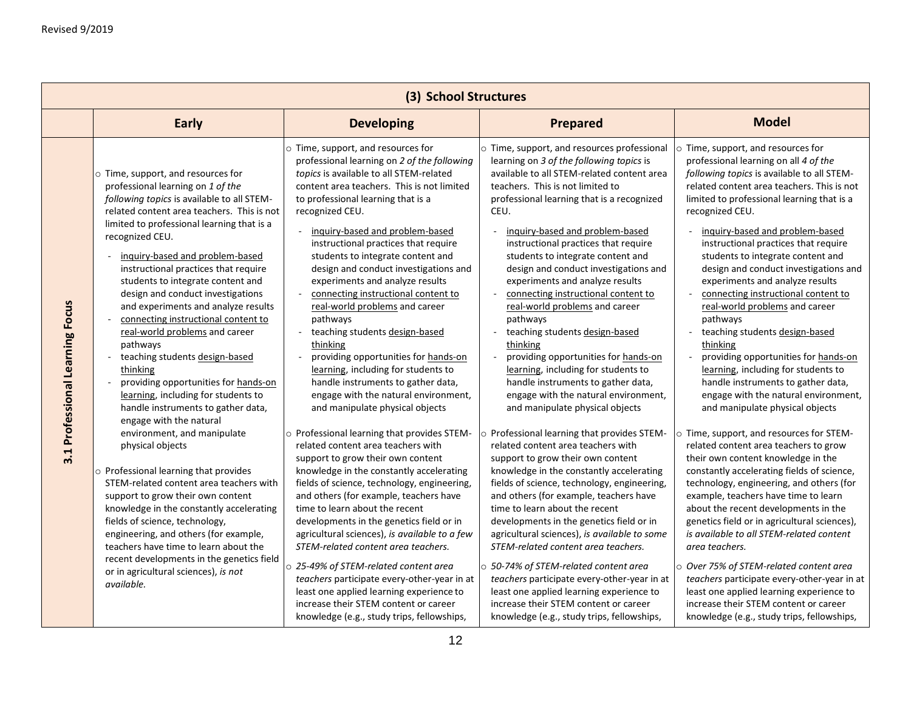|                                 | (3) School Structures                                                                                                                                                                                                                                                                                                                                                                                                                                                                                                                                                                                                                                                                                                                                                                                                                                                                                                                                                                                                                                                                                                                                              |                                                                                                                                                                                                                                                                                                                                                                                                                                                                                                                                                                                                                                                                                                                                                                                                                                                                                                                                                                                                                                                                                                                                                                                                                                                                                                                                                                                                                                          |                                                                                                                                                                                                                                                                                                                                                                                                                                                                                                                                                                                                                                                                                                                                                                                                                                                                                                                                                                                                                                                                                                                                                                                                                                                                                                                                                                                                                                           |                                                                                                                                                                                                                                                                                                                                                                                                                                                                                                                                                                                                                                                                                                                                                                                                                                                                                                                                                                                                                                                                                                                                                                                                                                                                                                                                                                                                                         |  |
|---------------------------------|--------------------------------------------------------------------------------------------------------------------------------------------------------------------------------------------------------------------------------------------------------------------------------------------------------------------------------------------------------------------------------------------------------------------------------------------------------------------------------------------------------------------------------------------------------------------------------------------------------------------------------------------------------------------------------------------------------------------------------------------------------------------------------------------------------------------------------------------------------------------------------------------------------------------------------------------------------------------------------------------------------------------------------------------------------------------------------------------------------------------------------------------------------------------|------------------------------------------------------------------------------------------------------------------------------------------------------------------------------------------------------------------------------------------------------------------------------------------------------------------------------------------------------------------------------------------------------------------------------------------------------------------------------------------------------------------------------------------------------------------------------------------------------------------------------------------------------------------------------------------------------------------------------------------------------------------------------------------------------------------------------------------------------------------------------------------------------------------------------------------------------------------------------------------------------------------------------------------------------------------------------------------------------------------------------------------------------------------------------------------------------------------------------------------------------------------------------------------------------------------------------------------------------------------------------------------------------------------------------------------|-------------------------------------------------------------------------------------------------------------------------------------------------------------------------------------------------------------------------------------------------------------------------------------------------------------------------------------------------------------------------------------------------------------------------------------------------------------------------------------------------------------------------------------------------------------------------------------------------------------------------------------------------------------------------------------------------------------------------------------------------------------------------------------------------------------------------------------------------------------------------------------------------------------------------------------------------------------------------------------------------------------------------------------------------------------------------------------------------------------------------------------------------------------------------------------------------------------------------------------------------------------------------------------------------------------------------------------------------------------------------------------------------------------------------------------------|-------------------------------------------------------------------------------------------------------------------------------------------------------------------------------------------------------------------------------------------------------------------------------------------------------------------------------------------------------------------------------------------------------------------------------------------------------------------------------------------------------------------------------------------------------------------------------------------------------------------------------------------------------------------------------------------------------------------------------------------------------------------------------------------------------------------------------------------------------------------------------------------------------------------------------------------------------------------------------------------------------------------------------------------------------------------------------------------------------------------------------------------------------------------------------------------------------------------------------------------------------------------------------------------------------------------------------------------------------------------------------------------------------------------------|--|
|                                 | <b>Early</b>                                                                                                                                                                                                                                                                                                                                                                                                                                                                                                                                                                                                                                                                                                                                                                                                                                                                                                                                                                                                                                                                                                                                                       | <b>Developing</b>                                                                                                                                                                                                                                                                                                                                                                                                                                                                                                                                                                                                                                                                                                                                                                                                                                                                                                                                                                                                                                                                                                                                                                                                                                                                                                                                                                                                                        | <b>Prepared</b>                                                                                                                                                                                                                                                                                                                                                                                                                                                                                                                                                                                                                                                                                                                                                                                                                                                                                                                                                                                                                                                                                                                                                                                                                                                                                                                                                                                                                           | <b>Model</b>                                                                                                                                                                                                                                                                                                                                                                                                                                                                                                                                                                                                                                                                                                                                                                                                                                                                                                                                                                                                                                                                                                                                                                                                                                                                                                                                                                                                            |  |
| 3.1 Professional Learning Focus | o Time, support, and resources for<br>professional learning on 1 of the<br>following topics is available to all STEM-<br>related content area teachers. This is not<br>limited to professional learning that is a<br>recognized CEU.<br>inguiry-based and problem-based<br>instructional practices that require<br>students to integrate content and<br>design and conduct investigations<br>and experiments and analyze results<br>connecting instructional content to<br>real-world problems and career<br>pathways<br>teaching students design-based<br>thinking<br>providing opportunities for hands-on<br>learning, including for students to<br>handle instruments to gather data,<br>engage with the natural<br>environment, and manipulate<br>physical objects<br>o Professional learning that provides<br>STEM-related content area teachers with<br>support to grow their own content<br>knowledge in the constantly accelerating<br>fields of science, technology,<br>engineering, and others (for example,<br>teachers have time to learn about the<br>recent developments in the genetics field<br>or in agricultural sciences), is not<br>available. | o Time, support, and resources for<br>professional learning on 2 of the following<br>topics is available to all STEM-related<br>content area teachers. This is not limited<br>to professional learning that is a<br>recognized CEU.<br>inquiry-based and problem-based<br>instructional practices that require<br>students to integrate content and<br>design and conduct investigations and<br>experiments and analyze results<br>connecting instructional content to<br>real-world problems and career<br>pathways<br>teaching students design-based<br>thinking<br>providing opportunities for hands-on<br>learning, including for students to<br>handle instruments to gather data,<br>engage with the natural environment,<br>and manipulate physical objects<br>$\circ$ Professional learning that provides STEM-<br>related content area teachers with<br>support to grow their own content<br>knowledge in the constantly accelerating<br>fields of science, technology, engineering,<br>and others (for example, teachers have<br>time to learn about the recent<br>developments in the genetics field or in<br>agricultural sciences), is available to a few<br>STEM-related content area teachers.<br>o 25-49% of STEM-related content area<br>teachers participate every-other-year in at<br>least one applied learning experience to<br>increase their STEM content or career<br>knowledge (e.g., study trips, fellowships, | o Time, support, and resources professional<br>learning on 3 of the following topics is<br>available to all STEM-related content area<br>teachers. This is not limited to<br>professional learning that is a recognized<br>CEU.<br>inquiry-based and problem-based<br>instructional practices that require<br>students to integrate content and<br>design and conduct investigations and<br>experiments and analyze results<br>connecting instructional content to<br>real-world problems and career<br>pathways<br>teaching students design-based<br>thinking<br>providing opportunities for hands-on<br>learning, including for students to<br>handle instruments to gather data,<br>engage with the natural environment,<br>and manipulate physical objects<br>$\circ$ Professional learning that provides STEM-<br>related content area teachers with<br>support to grow their own content<br>knowledge in the constantly accelerating<br>fields of science, technology, engineering,<br>and others (for example, teachers have<br>time to learn about the recent<br>developments in the genetics field or in<br>agricultural sciences), is available to some<br>STEM-related content area teachers.<br>$\circ$ 50-74% of STEM-related content area<br>teachers participate every-other-year in at<br>least one applied learning experience to<br>increase their STEM content or career<br>knowledge (e.g., study trips, fellowships, | o Time, support, and resources for<br>professional learning on all 4 of the<br>following topics is available to all STEM-<br>related content area teachers. This is not<br>limited to professional learning that is a<br>recognized CEU.<br>inquiry-based and problem-based<br>instructional practices that require<br>students to integrate content and<br>design and conduct investigations and<br>experiments and analyze results<br>connecting instructional content to<br>real-world problems and career<br>pathways<br>teaching students design-based<br>thinking<br>providing opportunities for hands-on<br>learning, including for students to<br>handle instruments to gather data,<br>engage with the natural environment,<br>and manipulate physical objects<br>o Time, support, and resources for STEM-<br>related content area teachers to grow<br>their own content knowledge in the<br>constantly accelerating fields of science,<br>technology, engineering, and others (for<br>example, teachers have time to learn<br>about the recent developments in the<br>genetics field or in agricultural sciences),<br>is available to all STEM-related content<br>area teachers.<br>o Over 75% of STEM-related content area<br>teachers participate every-other-year in at<br>least one applied learning experience to<br>increase their STEM content or career<br>knowledge (e.g., study trips, fellowships, |  |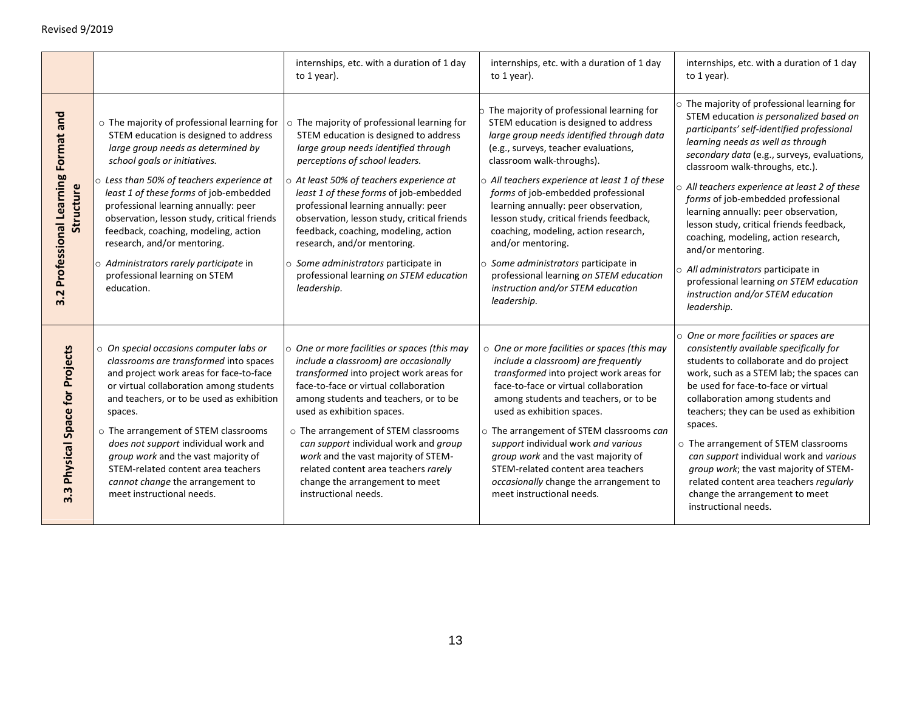|                                                   |                                                                                                                                                                                                                                                                                                                                                                                                                                                                                                                | internships, etc. with a duration of 1 day<br>to 1 year).                                                                                                                                                                                                                                                                                                                                                                                                                                                                  | internships, etc. with a duration of 1 day<br>to 1 year).                                                                                                                                                                                                                                                                                                                                                                                                                                                                                                                             | internships, etc. with a duration of 1 day<br>to 1 year).                                                                                                                                                                                                                                                                                                                                                                                                                                                                                                                                                                               |
|---------------------------------------------------|----------------------------------------------------------------------------------------------------------------------------------------------------------------------------------------------------------------------------------------------------------------------------------------------------------------------------------------------------------------------------------------------------------------------------------------------------------------------------------------------------------------|----------------------------------------------------------------------------------------------------------------------------------------------------------------------------------------------------------------------------------------------------------------------------------------------------------------------------------------------------------------------------------------------------------------------------------------------------------------------------------------------------------------------------|---------------------------------------------------------------------------------------------------------------------------------------------------------------------------------------------------------------------------------------------------------------------------------------------------------------------------------------------------------------------------------------------------------------------------------------------------------------------------------------------------------------------------------------------------------------------------------------|-----------------------------------------------------------------------------------------------------------------------------------------------------------------------------------------------------------------------------------------------------------------------------------------------------------------------------------------------------------------------------------------------------------------------------------------------------------------------------------------------------------------------------------------------------------------------------------------------------------------------------------------|
| 3.2 Professional Learning Format and<br>Structure | o The majority of professional learning for<br>STEM education is designed to address<br>large group needs as determined by<br>school goals or initiatives.<br>$\circ$ Less than 50% of teachers experience at<br>least 1 of these forms of job-embedded<br>professional learning annually: peer<br>observation, lesson study, critical friends<br>feedback, coaching, modeling, action<br>research, and/or mentoring.<br>o Administrators rarely participate in<br>professional learning on STEM<br>education. | o The majority of professional learning for<br>STEM education is designed to address<br>large group needs identified through<br>perceptions of school leaders.<br>$\circ$ At least 50% of teachers experience at<br>least 1 of these forms of job-embedded<br>professional learning annually: peer<br>observation, lesson study, critical friends<br>feedback, coaching, modeling, action<br>research, and/or mentoring.<br>o Some administrators participate in<br>professional learning on STEM education<br>leadership. | o The majority of professional learning for<br>STEM education is designed to address<br>large group needs identified through data<br>(e.g., surveys, teacher evaluations,<br>classroom walk-throughs).<br>o All teachers experience at least 1 of these<br>forms of job-embedded professional<br>learning annually: peer observation,<br>lesson study, critical friends feedback,<br>coaching, modeling, action research,<br>and/or mentoring.<br>○ Some administrators participate in<br>professional learning on STEM education<br>instruction and/or STEM education<br>leadership. | o The majority of professional learning for<br>STEM education is personalized based on<br>participants' self-identified professional<br>learning needs as well as through<br>secondary data (e.g., surveys, evaluations,<br>classroom walk-throughs, etc.).<br>O All teachers experience at least 2 of these<br>forms of job-embedded professional<br>learning annually: peer observation,<br>lesson study, critical friends feedback,<br>coaching, modeling, action research,<br>and/or mentoring.<br>All administrators participate in<br>professional learning on STEM education<br>instruction and/or STEM education<br>leadership. |
| 3.3 Physical Space for Projects                   | o On special occasions computer labs or<br>classrooms are transformed into spaces<br>and project work areas for face-to-face<br>or virtual collaboration among students<br>and teachers, or to be used as exhibition<br>spaces.<br>o The arrangement of STEM classrooms<br>does not support individual work and<br>group work and the vast majority of<br>STEM-related content area teachers<br>cannot change the arrangement to<br>meet instructional needs.                                                  | O One or more facilities or spaces (this may<br>include a classroom) are occasionally<br>transformed into project work areas for<br>face-to-face or virtual collaboration<br>among students and teachers, or to be<br>used as exhibition spaces.<br>o The arrangement of STEM classrooms<br>can support individual work and group<br>work and the vast majority of STEM-<br>related content area teachers rarely<br>change the arrangement to meet<br>instructional needs.                                                 | o One or more facilities or spaces (this may<br>include a classroom) are frequently<br>transformed into project work areas for<br>face-to-face or virtual collaboration<br>among students and teachers, or to be<br>used as exhibition spaces.<br>o The arrangement of STEM classrooms can<br>support individual work and various<br>group work and the vast majority of<br>STEM-related content area teachers<br>occasionally change the arrangement to<br>meet instructional needs.                                                                                                 | o One or more facilities or spaces are<br>consistently available specifically for<br>students to collaborate and do project<br>work, such as a STEM lab; the spaces can<br>be used for face-to-face or virtual<br>collaboration among students and<br>teachers; they can be used as exhibition<br>spaces.<br>o The arrangement of STEM classrooms<br>can support individual work and various<br>group work; the vast majority of STEM-<br>related content area teachers regularly<br>change the arrangement to meet<br>instructional needs.                                                                                             |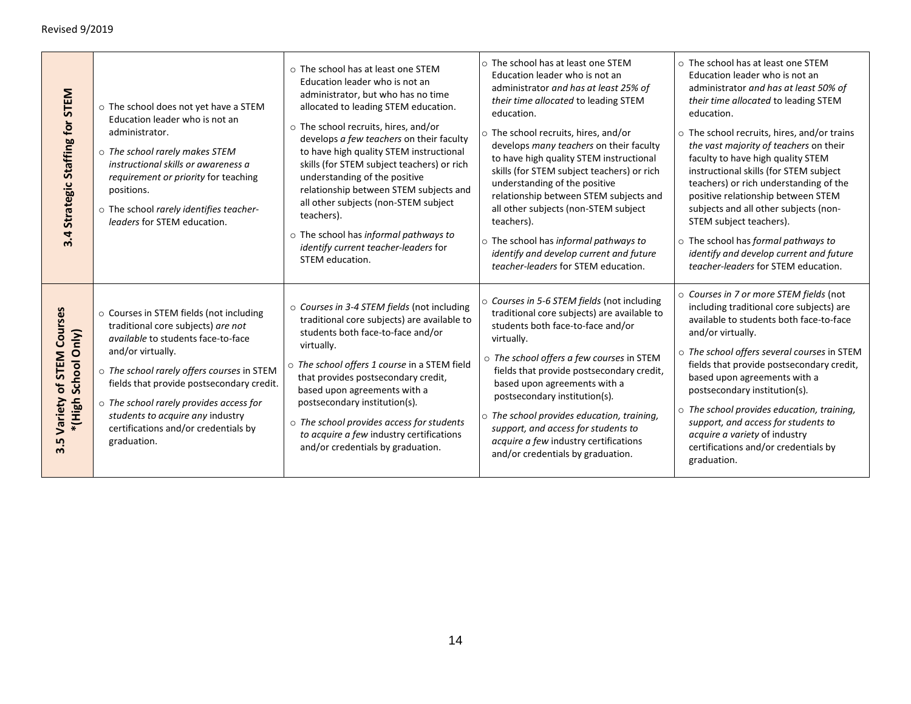| Strategic Staffing for STEM<br>3.4                             | o The school does not yet have a STEM<br>Education leader who is not an<br>administrator.<br>o The school rarely makes STEM<br>instructional skills or awareness a<br>requirement or priority for teaching<br>positions.<br>o The school rarely identifies teacher-<br>leaders for STEM education.                                                                                     | $\circ$ The school has at least one STEM<br>Education leader who is not an<br>administrator, but who has no time<br>allocated to leading STEM education.<br>o The school recruits, hires, and/or<br>develops a few teachers on their faculty<br>to have high quality STEM instructional<br>skills (for STEM subject teachers) or rich<br>understanding of the positive<br>relationship between STEM subjects and<br>all other subjects (non-STEM subject<br>teachers).<br>o The school has informal pathways to<br>identify current teacher-leaders for<br>STEM education. | ○ The school has at least one STEM<br>Education leader who is not an<br>administrator and has at least 25% of<br>their time allocated to leading STEM<br>education.<br>$\circ$ The school recruits, hires, and/or<br>develops many teachers on their faculty<br>to have high quality STEM instructional<br>skills (for STEM subject teachers) or rich<br>understanding of the positive<br>relationship between STEM subjects and<br>all other subjects (non-STEM subject<br>teachers).<br>o The school has informal pathways to<br>identify and develop current and future<br>teacher-leaders for STEM education. | ○ The school has at least one STEM<br>Education leader who is not an<br>administrator and has at least 50% of<br>their time allocated to leading STEM<br>education.<br>$\circ$ The school recruits, hires, and/or trains<br>the vast majority of teachers on their<br>faculty to have high quality STEM<br>instructional skills (for STEM subject<br>teachers) or rich understanding of the<br>positive relationship between STEM<br>subjects and all other subjects (non-<br>STEM subject teachers).<br>o The school has formal pathways to<br>identify and develop current and future<br>teacher-leaders for STEM education. |
|----------------------------------------------------------------|----------------------------------------------------------------------------------------------------------------------------------------------------------------------------------------------------------------------------------------------------------------------------------------------------------------------------------------------------------------------------------------|----------------------------------------------------------------------------------------------------------------------------------------------------------------------------------------------------------------------------------------------------------------------------------------------------------------------------------------------------------------------------------------------------------------------------------------------------------------------------------------------------------------------------------------------------------------------------|-------------------------------------------------------------------------------------------------------------------------------------------------------------------------------------------------------------------------------------------------------------------------------------------------------------------------------------------------------------------------------------------------------------------------------------------------------------------------------------------------------------------------------------------------------------------------------------------------------------------|--------------------------------------------------------------------------------------------------------------------------------------------------------------------------------------------------------------------------------------------------------------------------------------------------------------------------------------------------------------------------------------------------------------------------------------------------------------------------------------------------------------------------------------------------------------------------------------------------------------------------------|
| of STEM Courses<br>School Only)<br>* (High )<br>Variety<br>3.5 | o Courses in STEM fields (not including<br>traditional core subjects) are not<br><i>available</i> to students face-to-face<br>and/or virtually.<br>o The school rarely offers courses in STEM<br>fields that provide postsecondary credit.<br>$\circ$ The school rarely provides access for<br>students to acquire any industry<br>certifications and/or credentials by<br>graduation. | ○ Courses in 3-4 STEM fields (not including<br>traditional core subjects) are available to<br>students both face-to-face and/or<br>virtually.<br>o The school offers 1 course in a STEM field<br>that provides postsecondary credit,<br>based upon agreements with a<br>postsecondary institution(s).<br>o The school provides access for students<br>to acquire a few industry certifications<br>and/or credentials by graduation.                                                                                                                                        | O Courses in 5-6 STEM fields (not including<br>traditional core subjects) are available to<br>students both face-to-face and/or<br>virtually.<br>o The school offers a few courses in STEM<br>fields that provide postsecondary credit,<br>based upon agreements with a<br>postsecondary institution(s).<br>$\circ$ The school provides education, training,<br>support, and access for students to<br>acquire a few industry certifications<br>and/or credentials by graduation.                                                                                                                                 | ○ Courses in 7 or more STEM fields (not<br>including traditional core subjects) are<br>available to students both face-to-face<br>and/or virtually.<br>o The school offers several courses in STEM<br>fields that provide postsecondary credit,<br>based upon agreements with a<br>postsecondary institution(s).<br>$\circ$ The school provides education, training,<br>support, and access for students to<br>acquire a variety of industry<br>certifications and/or credentials by<br>graduation.                                                                                                                            |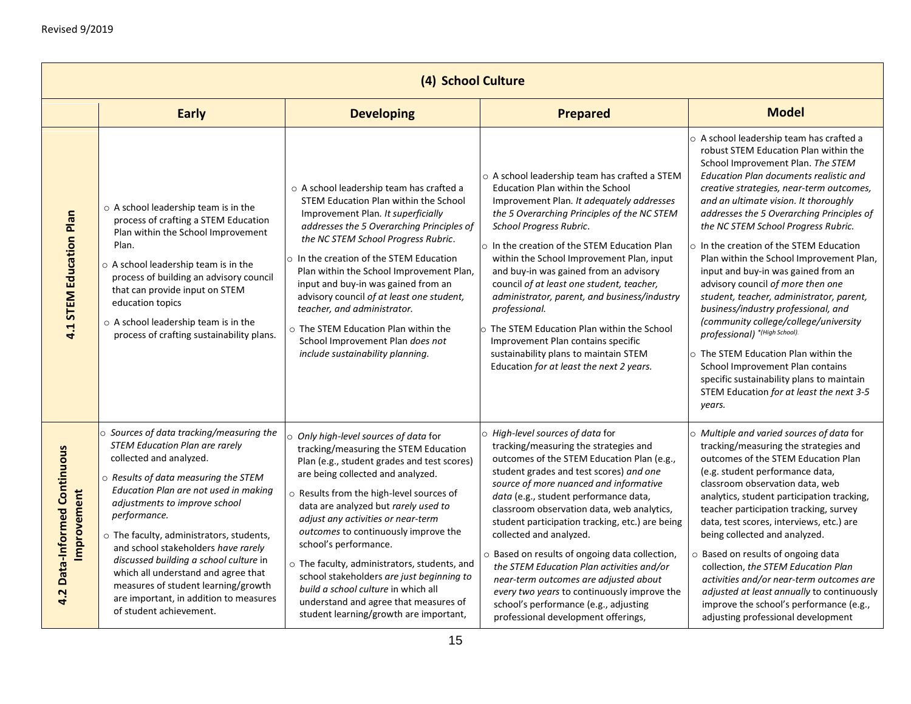|                                                       | (4) School Culture                                                                                                                                                                                                                                                                                                                                                                                                                                                                                                             |                                                                                                                                                                                                                                                                                                                                                                                                                                                                                                                                                                                    |                                                                                                                                                                                                                                                                                                                                                                                                                                                                                                                                                                                                                                                          |                                                                                                                                                                                                                                                                                                                                                                                                                                                                                                                                                                                                                                                                                                                                                                                                                                                              |  |  |
|-------------------------------------------------------|--------------------------------------------------------------------------------------------------------------------------------------------------------------------------------------------------------------------------------------------------------------------------------------------------------------------------------------------------------------------------------------------------------------------------------------------------------------------------------------------------------------------------------|------------------------------------------------------------------------------------------------------------------------------------------------------------------------------------------------------------------------------------------------------------------------------------------------------------------------------------------------------------------------------------------------------------------------------------------------------------------------------------------------------------------------------------------------------------------------------------|----------------------------------------------------------------------------------------------------------------------------------------------------------------------------------------------------------------------------------------------------------------------------------------------------------------------------------------------------------------------------------------------------------------------------------------------------------------------------------------------------------------------------------------------------------------------------------------------------------------------------------------------------------|--------------------------------------------------------------------------------------------------------------------------------------------------------------------------------------------------------------------------------------------------------------------------------------------------------------------------------------------------------------------------------------------------------------------------------------------------------------------------------------------------------------------------------------------------------------------------------------------------------------------------------------------------------------------------------------------------------------------------------------------------------------------------------------------------------------------------------------------------------------|--|--|
|                                                       | <b>Early</b>                                                                                                                                                                                                                                                                                                                                                                                                                                                                                                                   | <b>Developing</b>                                                                                                                                                                                                                                                                                                                                                                                                                                                                                                                                                                  | <b>Prepared</b>                                                                                                                                                                                                                                                                                                                                                                                                                                                                                                                                                                                                                                          | <b>Model</b>                                                                                                                                                                                                                                                                                                                                                                                                                                                                                                                                                                                                                                                                                                                                                                                                                                                 |  |  |
| 4.1 STEM Education Plan                               | $\circ$ A school leadership team is in the<br>process of crafting a STEM Education<br>Plan within the School Improvement<br>Plan.<br>$\circ$ A school leadership team is in the<br>process of building an advisory council<br>that can provide input on STEM<br>education topics<br>o A school leadership team is in the<br>process of crafting sustainability plans.                                                                                                                                                          | o A school leadership team has crafted a<br>STEM Education Plan within the School<br>Improvement Plan. It superficially<br>addresses the 5 Overarching Principles of<br>the NC STEM School Progress Rubric.<br>In the creation of the STEM Education<br>Plan within the School Improvement Plan,<br>input and buy-in was gained from an<br>advisory council of at least one student,<br>teacher, and administrator.<br>o The STEM Education Plan within the<br>School Improvement Plan does not<br>include sustainability planning.                                                | o A school leadership team has crafted a STEM<br>Education Plan within the School<br>Improvement Plan. It adequately addresses<br>the 5 Overarching Principles of the NC STEM<br>School Progress Rubric.<br>$\circ$ In the creation of the STEM Education Plan<br>within the School Improvement Plan, input<br>and buy-in was gained from an advisory<br>council of at least one student, teacher,<br>administrator, parent, and business/industry<br>professional.<br>o The STEM Education Plan within the School<br>Improvement Plan contains specific<br>sustainability plans to maintain STEM<br>Education for at least the next 2 years.            | o A school leadership team has crafted a<br>robust STEM Education Plan within the<br>School Improvement Plan. The STEM<br>Education Plan documents realistic and<br>creative strategies, near-term outcomes,<br>and an ultimate vision. It thoroughly<br>addresses the 5 Overarching Principles of<br>the NC STEM School Progress Rubric.<br>$\circ$ In the creation of the STEM Education<br>Plan within the School Improvement Plan,<br>input and buy-in was gained from an<br>advisory council of more then one<br>student, teacher, administrator, parent,<br>business/industry professional, and<br>(community college/college/university<br>professional) *(High School).<br>The STEM Education Plan within the<br>School Improvement Plan contains<br>specific sustainability plans to maintain<br>STEM Education for at least the next 3-5<br>years. |  |  |
| <b>Data-Informed Continuous</b><br>Improvement<br>4.2 | o Sources of data tracking/measuring the<br><b>STEM Education Plan are rarely</b><br>collected and analyzed.<br>o Results of data measuring the STEM<br>Education Plan are not used in making<br>adjustments to improve school<br>performance.<br>o The faculty, administrators, students,<br>and school stakeholders have rarely<br>discussed building a school culture in<br>which all understand and agree that<br>measures of student learning/growth<br>are important, in addition to measures<br>of student achievement. | Only high-level sources of data for<br>tracking/measuring the STEM Education<br>Plan (e.g., student grades and test scores)<br>are being collected and analyzed.<br>o Results from the high-level sources of<br>data are analyzed but rarely used to<br>adjust any activities or near-term<br>outcomes to continuously improve the<br>school's performance.<br>o The faculty, administrators, students, and<br>school stakeholders are just beginning to<br>build a school culture in which all<br>understand and agree that measures of<br>student learning/growth are important, | o High-level sources of data for<br>tracking/measuring the strategies and<br>outcomes of the STEM Education Plan (e.g.,<br>student grades and test scores) and one<br>source of more nuanced and informative<br>data (e.g., student performance data,<br>classroom observation data, web analytics,<br>student participation tracking, etc.) are being<br>collected and analyzed.<br>o Based on results of ongoing data collection,<br>the STEM Education Plan activities and/or<br>near-term outcomes are adjusted about<br>every two years to continuously improve the<br>school's performance (e.g., adjusting<br>professional development offerings, | O Multiple and varied sources of data for<br>tracking/measuring the strategies and<br>outcomes of the STEM Education Plan<br>(e.g. student performance data,<br>classroom observation data, web<br>analytics, student participation tracking,<br>teacher participation tracking, survey<br>data, test scores, interviews, etc.) are<br>being collected and analyzed.<br>O Based on results of ongoing data<br>collection, the STEM Education Plan<br>activities and/or near-term outcomes are<br>adjusted at least annually to continuously<br>improve the school's performance (e.g.,<br>adjusting professional development                                                                                                                                                                                                                                 |  |  |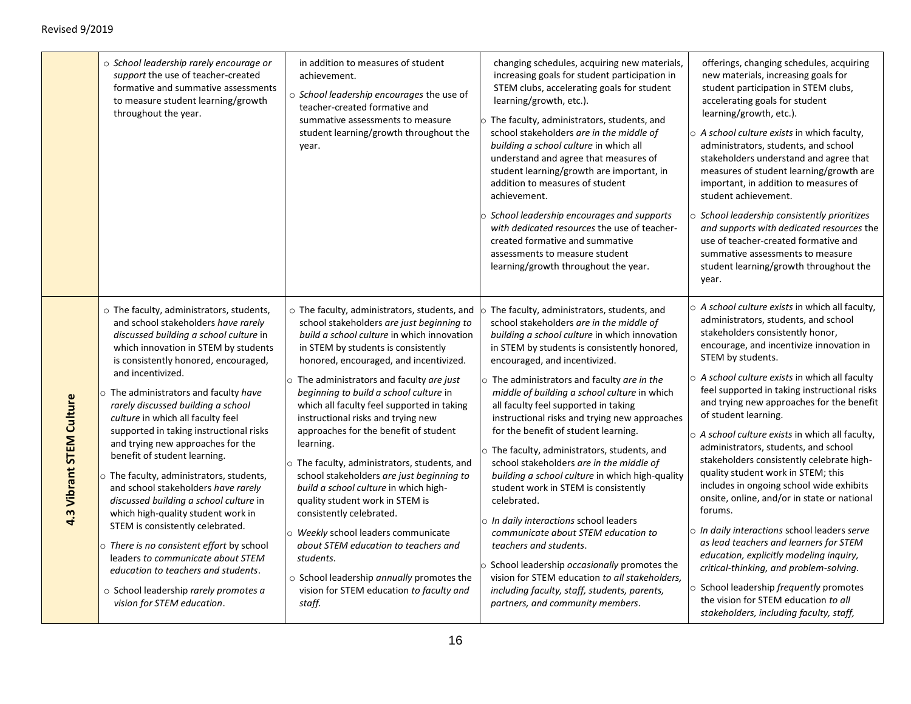|                          | o School leadership rarely encourage or<br>support the use of teacher-created<br>formative and summative assessments<br>to measure student learning/growth<br>throughout the year.                                                                                                                                                                                                                                                                                                                                                                                                                                                                                                                                                                                                                                                                                        | in addition to measures of student<br>achievement.<br>o School leadership encourages the use of<br>teacher-created formative and<br>summative assessments to measure<br>student learning/growth throughout the<br>year.                                                                                                                                                                                                                                                                                                                                                                                                                                                                                                                                                                                                                                             | changing schedules, acquiring new materials,<br>increasing goals for student participation in<br>STEM clubs, accelerating goals for student<br>learning/growth, etc.).<br>o The faculty, administrators, students, and<br>school stakeholders are in the middle of<br>building a school culture in which all<br>understand and agree that measures of<br>student learning/growth are important, in<br>addition to measures of student<br>achievement.<br>School leadership encourages and supports<br>with dedicated resources the use of teacher-<br>created formative and summative<br>assessments to measure student<br>learning/growth throughout the year.                                                                                                                                                                                                                                                                                                        | offerings, changing schedules, acquiring<br>new materials, increasing goals for<br>student participation in STEM clubs,<br>accelerating goals for student<br>learning/growth, etc.).<br>$\circ$ A school culture exists in which faculty,<br>administrators, students, and school<br>stakeholders understand and agree that<br>measures of student learning/growth are<br>important, in addition to measures of<br>student achievement.<br>School leadership consistently prioritizes<br>and supports with dedicated resources the<br>use of teacher-created formative and<br>summative assessments to measure<br>student learning/growth throughout the<br>year.                                                                                                                                                                                                                                                                                                           |
|--------------------------|---------------------------------------------------------------------------------------------------------------------------------------------------------------------------------------------------------------------------------------------------------------------------------------------------------------------------------------------------------------------------------------------------------------------------------------------------------------------------------------------------------------------------------------------------------------------------------------------------------------------------------------------------------------------------------------------------------------------------------------------------------------------------------------------------------------------------------------------------------------------------|---------------------------------------------------------------------------------------------------------------------------------------------------------------------------------------------------------------------------------------------------------------------------------------------------------------------------------------------------------------------------------------------------------------------------------------------------------------------------------------------------------------------------------------------------------------------------------------------------------------------------------------------------------------------------------------------------------------------------------------------------------------------------------------------------------------------------------------------------------------------|------------------------------------------------------------------------------------------------------------------------------------------------------------------------------------------------------------------------------------------------------------------------------------------------------------------------------------------------------------------------------------------------------------------------------------------------------------------------------------------------------------------------------------------------------------------------------------------------------------------------------------------------------------------------------------------------------------------------------------------------------------------------------------------------------------------------------------------------------------------------------------------------------------------------------------------------------------------------|-----------------------------------------------------------------------------------------------------------------------------------------------------------------------------------------------------------------------------------------------------------------------------------------------------------------------------------------------------------------------------------------------------------------------------------------------------------------------------------------------------------------------------------------------------------------------------------------------------------------------------------------------------------------------------------------------------------------------------------------------------------------------------------------------------------------------------------------------------------------------------------------------------------------------------------------------------------------------------|
| 4.3 Vibrant STEM Culture | o The faculty, administrators, students,<br>and school stakeholders have rarely<br>discussed building a school culture in<br>which innovation in STEM by students<br>is consistently honored, encouraged,<br>and incentivized.<br>o The administrators and faculty have<br>rarely discussed building a school<br>culture in which all faculty feel<br>supported in taking instructional risks<br>and trying new approaches for the<br>benefit of student learning.<br>o The faculty, administrators, students,<br>and school stakeholders have rarely<br>discussed building a school culture in<br>which high-quality student work in<br>STEM is consistently celebrated.<br>o There is no consistent effort by school<br>leaders to communicate about STEM<br>education to teachers and students.<br>○ School leadership rarely promotes a<br>vision for STEM education. | $\circ$ The faculty, administrators, students, and<br>school stakeholders are just beginning to<br>build a school culture in which innovation<br>in STEM by students is consistently<br>honored, encouraged, and incentivized.<br>o The administrators and faculty are just<br>beginning to build a school culture in<br>which all faculty feel supported in taking<br>instructional risks and trying new<br>approaches for the benefit of student<br>learning.<br>o The faculty, administrators, students, and<br>school stakeholders are just beginning to<br>build a school culture in which high-<br>quality student work in STEM is<br>consistently celebrated.<br>o Weekly school leaders communicate<br>about STEM education to teachers and<br>students.<br>o School leadership annually promotes the<br>vision for STEM education to faculty and<br>staff. | The faculty, administrators, students, and<br>school stakeholders are in the middle of<br>building a school culture in which innovation<br>in STEM by students is consistently honored,<br>encouraged, and incentivized.<br>o The administrators and faculty are in the<br>middle of building a school culture in which<br>all faculty feel supported in taking<br>instructional risks and trying new approaches<br>for the benefit of student learning.<br>$\circ$ The faculty, administrators, students, and<br>school stakeholders are in the middle of<br>building a school culture in which high-quality<br>student work in STEM is consistently<br>celebrated.<br>o In daily interactions school leaders<br>communicate about STEM education to<br>teachers and students.<br>o School leadership occasionally promotes the<br>vision for STEM education to all stakeholders,<br>including faculty, staff, students, parents,<br>partners, and community members. | o A school culture exists in which all faculty,<br>administrators, students, and school<br>stakeholders consistently honor,<br>encourage, and incentivize innovation in<br>STEM by students.<br>$\circ$ A school culture exists in which all faculty<br>feel supported in taking instructional risks<br>and trying new approaches for the benefit<br>of student learning.<br>o A school culture exists in which all faculty,<br>administrators, students, and school<br>stakeholders consistently celebrate high-<br>quality student work in STEM; this<br>includes in ongoing school wide exhibits<br>onsite, online, and/or in state or national<br>forums.<br>o In daily interactions school leaders serve<br>as lead teachers and learners for STEM<br>education, explicitly modeling inquiry,<br>critical-thinking, and problem-solving.<br>○ School leadership frequently promotes<br>the vision for STEM education to all<br>stakeholders, including faculty, staff, |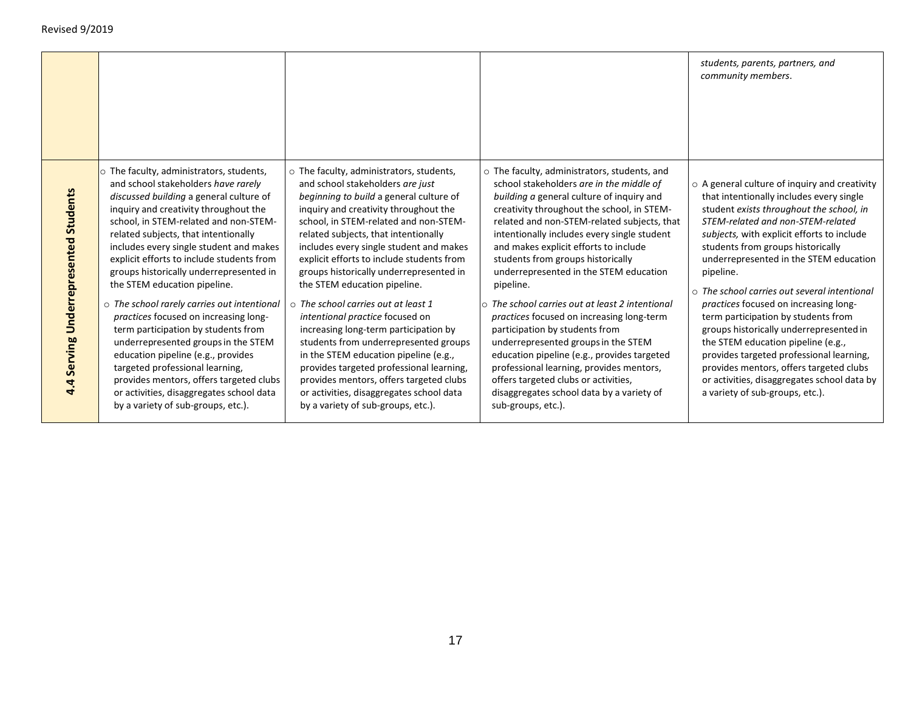|                                       |                                                                                                                                                                                                                                                                                                                                                                                                                                                                                                                                                                                                                                                                                                                                                                                                                 |                                                                                                                                                                                                                                                                                                                                                                                                                                                                                                                                                                                                                                                                                                                                                                                                          |                                                                                                                                                                                                                                                                                                                                                                                                                                                                                                                                                                                                                                                                                                                                                                                                             | students, parents, partners, and<br>community members.                                                                                                                                                                                                                                                                                                                                                                                                                                                                                                                                                                                                                                                                     |
|---------------------------------------|-----------------------------------------------------------------------------------------------------------------------------------------------------------------------------------------------------------------------------------------------------------------------------------------------------------------------------------------------------------------------------------------------------------------------------------------------------------------------------------------------------------------------------------------------------------------------------------------------------------------------------------------------------------------------------------------------------------------------------------------------------------------------------------------------------------------|----------------------------------------------------------------------------------------------------------------------------------------------------------------------------------------------------------------------------------------------------------------------------------------------------------------------------------------------------------------------------------------------------------------------------------------------------------------------------------------------------------------------------------------------------------------------------------------------------------------------------------------------------------------------------------------------------------------------------------------------------------------------------------------------------------|-------------------------------------------------------------------------------------------------------------------------------------------------------------------------------------------------------------------------------------------------------------------------------------------------------------------------------------------------------------------------------------------------------------------------------------------------------------------------------------------------------------------------------------------------------------------------------------------------------------------------------------------------------------------------------------------------------------------------------------------------------------------------------------------------------------|----------------------------------------------------------------------------------------------------------------------------------------------------------------------------------------------------------------------------------------------------------------------------------------------------------------------------------------------------------------------------------------------------------------------------------------------------------------------------------------------------------------------------------------------------------------------------------------------------------------------------------------------------------------------------------------------------------------------------|
| 4.4 Serving Underrepresented Students | $\circ$ The faculty, administrators, students,<br>and school stakeholders have rarely<br>discussed building a general culture of<br>inquiry and creativity throughout the<br>school, in STEM-related and non-STEM-<br>related subjects, that intentionally<br>includes every single student and makes<br>explicit efforts to include students from<br>groups historically underrepresented in<br>the STEM education pipeline.<br>$\circ$ The school rarely carries out intentional<br>practices focused on increasing long-<br>term participation by students from<br>underrepresented groups in the STEM<br>education pipeline (e.g., provides<br>targeted professional learning,<br>provides mentors, offers targeted clubs<br>or activities, disaggregates school data<br>by a variety of sub-groups, etc.). | o The faculty, administrators, students,<br>and school stakeholders are just<br>beginning to build a general culture of<br>inguiry and creativity throughout the<br>school, in STEM-related and non-STEM-<br>related subjects, that intentionally<br>includes every single student and makes<br>explicit efforts to include students from<br>groups historically underrepresented in<br>the STEM education pipeline.<br>$\circ$ The school carries out at least 1<br>intentional practice focused on<br>increasing long-term participation by<br>students from underrepresented groups<br>in the STEM education pipeline (e.g.,<br>provides targeted professional learning,<br>provides mentors, offers targeted clubs<br>or activities, disaggregates school data<br>by a variety of sub-groups, etc.). | o The faculty, administrators, students, and<br>school stakeholders are in the middle of<br>building a general culture of inquiry and<br>creativity throughout the school, in STEM-<br>related and non-STEM-related subjects, that<br>intentionally includes every single student<br>and makes explicit efforts to include<br>students from groups historically<br>underrepresented in the STEM education<br>pipeline.<br>$\circ$ The school carries out at least 2 intentional<br>practices focused on increasing long-term<br>participation by students from<br>underrepresented groups in the STEM<br>education pipeline (e.g., provides targeted<br>professional learning, provides mentors,<br>offers targeted clubs or activities,<br>disaggregates school data by a variety of<br>sub-groups, etc.). | $\circ$ A general culture of inquiry and creativity<br>that intentionally includes every single<br>student exists throughout the school, in<br>STEM-related and non-STEM-related<br>subjects, with explicit efforts to include<br>students from groups historically<br>underrepresented in the STEM education<br>pipeline.<br>$\circ$ The school carries out several intentional<br>practices focused on increasing long-<br>term participation by students from<br>groups historically underrepresented in<br>the STEM education pipeline (e.g.,<br>provides targeted professional learning,<br>provides mentors, offers targeted clubs<br>or activities, disaggregates school data by<br>a variety of sub-groups, etc.). |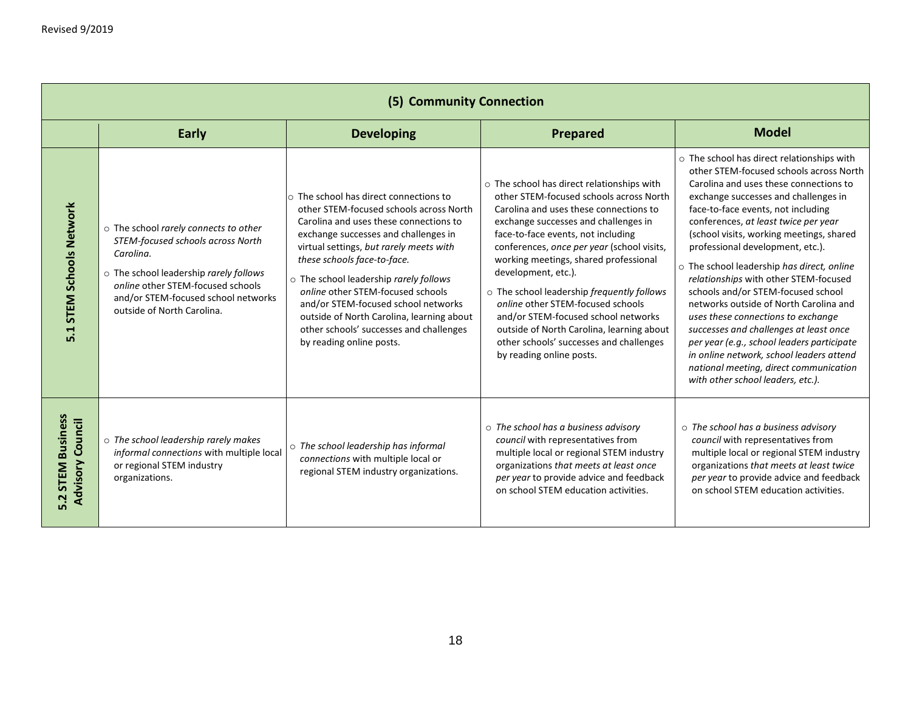|                                                        | (5) Community Connection                                                                                                                                                                                                                    |                                                                                                                                                                                                                                                                                                                                                                                                                                                                                               |                                                                                                                                                                                                                                                                                                                                                                                                                                                                                                                                                                                 |                                                                                                                                                                                                                                                                                                                                                                                                                                                                                                                                                                                                                                                                                                                                                                       |  |
|--------------------------------------------------------|---------------------------------------------------------------------------------------------------------------------------------------------------------------------------------------------------------------------------------------------|-----------------------------------------------------------------------------------------------------------------------------------------------------------------------------------------------------------------------------------------------------------------------------------------------------------------------------------------------------------------------------------------------------------------------------------------------------------------------------------------------|---------------------------------------------------------------------------------------------------------------------------------------------------------------------------------------------------------------------------------------------------------------------------------------------------------------------------------------------------------------------------------------------------------------------------------------------------------------------------------------------------------------------------------------------------------------------------------|-----------------------------------------------------------------------------------------------------------------------------------------------------------------------------------------------------------------------------------------------------------------------------------------------------------------------------------------------------------------------------------------------------------------------------------------------------------------------------------------------------------------------------------------------------------------------------------------------------------------------------------------------------------------------------------------------------------------------------------------------------------------------|--|
|                                                        | Early                                                                                                                                                                                                                                       | <b>Developing</b>                                                                                                                                                                                                                                                                                                                                                                                                                                                                             | Prepared                                                                                                                                                                                                                                                                                                                                                                                                                                                                                                                                                                        | <b>Model</b>                                                                                                                                                                                                                                                                                                                                                                                                                                                                                                                                                                                                                                                                                                                                                          |  |
| <b>STEM Schools Network</b><br>5.1                     | o The school rarely connects to other<br>STEM-focused schools across North<br>Carolina.<br>o The school leadership rarely follows<br>online other STEM-focused schools<br>and/or STEM-focused school networks<br>outside of North Carolina. | $\circ$ The school has direct connections to<br>other STEM-focused schools across North<br>Carolina and uses these connections to<br>exchange successes and challenges in<br>virtual settings, but rarely meets with<br>these schools face-to-face.<br>o The school leadership rarely follows<br>online other STEM-focused schools<br>and/or STEM-focused school networks<br>outside of North Carolina, learning about<br>other schools' successes and challenges<br>by reading online posts. | $\circ$ The school has direct relationships with<br>other STEM-focused schools across North<br>Carolina and uses these connections to<br>exchange successes and challenges in<br>face-to-face events, not including<br>conferences, once per year (school visits,<br>working meetings, shared professional<br>development, etc.).<br>o The school leadership frequently follows<br>online other STEM-focused schools<br>and/or STEM-focused school networks<br>outside of North Carolina, learning about<br>other schools' successes and challenges<br>by reading online posts. | o The school has direct relationships with<br>other STEM-focused schools across North<br>Carolina and uses these connections to<br>exchange successes and challenges in<br>face-to-face events, not including<br>conferences, at least twice per year<br>(school visits, working meetings, shared<br>professional development, etc.).<br>o The school leadership has direct, online<br>relationships with other STEM-focused<br>schools and/or STEM-focused school<br>networks outside of North Carolina and<br>uses these connections to exchange<br>successes and challenges at least once<br>per year (e.g., school leaders participate<br>in online network, school leaders attend<br>national meeting, direct communication<br>with other school leaders, etc.). |  |
| <b>STEM Business</b><br><b>Advisory Council</b><br>5.2 | $\circ$ The school leadership rarely makes<br>informal connections with multiple local<br>or regional STEM industry<br>organizations.                                                                                                       | o The school leadership has informal<br>connections with multiple local or<br>regional STEM industry organizations.                                                                                                                                                                                                                                                                                                                                                                           | $\circ$ The school has a business advisory<br>council with representatives from<br>multiple local or regional STEM industry<br>organizations that meets at least once<br>per year to provide advice and feedback<br>on school STEM education activities.                                                                                                                                                                                                                                                                                                                        | $\circ$ The school has a business advisory<br>council with representatives from<br>multiple local or regional STEM industry<br>organizations that meets at least twice<br>per year to provide advice and feedback<br>on school STEM education activities.                                                                                                                                                                                                                                                                                                                                                                                                                                                                                                             |  |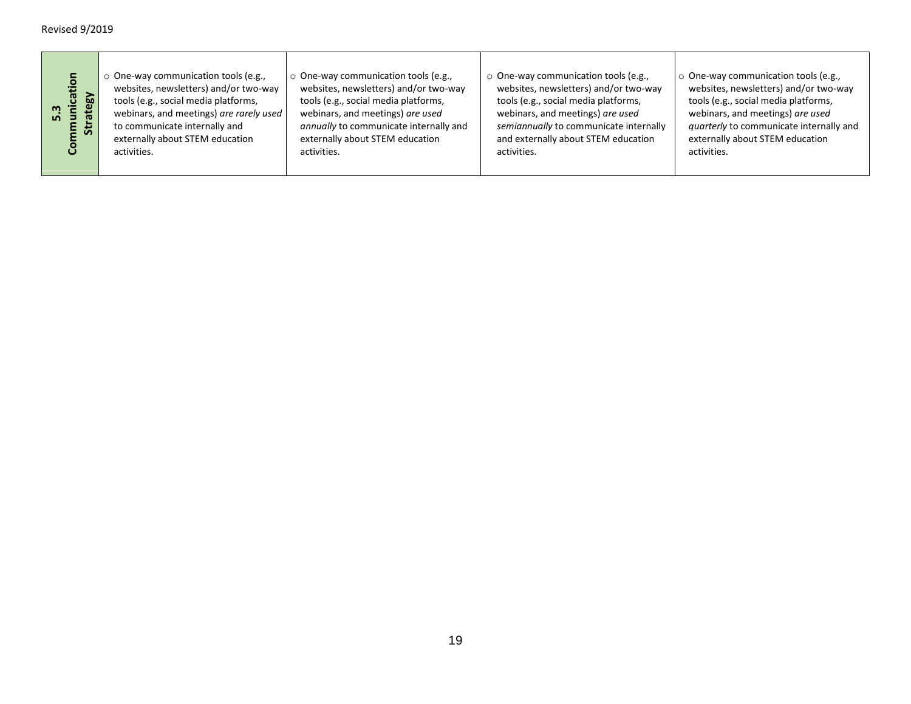| Զ<br>cati<br><b>N</b><br>in. | $\circ$ One-way communication tools (e.g.,<br>websites, newsletters) and/or two-way<br>tools (e.g., social media platforms,<br>webinars, and meetings) are rarely used<br>to communicate internally and<br>externally about STEM education<br>activities. | $\circ$ One-way communication tools (e.g.,<br>websites, newsletters) and/or two-way<br>tools (e.g., social media platforms,<br>webinars, and meetings) are used<br>annually to communicate internally and<br>externally about STEM education<br>activities. | ○ One-way communication tools (e.g.,<br>websites, newsletters) and/or two-way<br>tools (e.g., social media platforms,<br>webinars, and meetings) are used<br>semiannually to communicate internally<br>and externally about STEM education<br>activities. | $\circ$ One-way communication tools (e.g.,<br>websites, newsletters) and/or two-way<br>tools (e.g., social media platforms,<br>webinars, and meetings) are used<br>quarterly to communicate internally and<br>externally about STEM education<br>activities. |
|------------------------------|-----------------------------------------------------------------------------------------------------------------------------------------------------------------------------------------------------------------------------------------------------------|-------------------------------------------------------------------------------------------------------------------------------------------------------------------------------------------------------------------------------------------------------------|-----------------------------------------------------------------------------------------------------------------------------------------------------------------------------------------------------------------------------------------------------------|--------------------------------------------------------------------------------------------------------------------------------------------------------------------------------------------------------------------------------------------------------------|
|                              |                                                                                                                                                                                                                                                           |                                                                                                                                                                                                                                                             |                                                                                                                                                                                                                                                           |                                                                                                                                                                                                                                                              |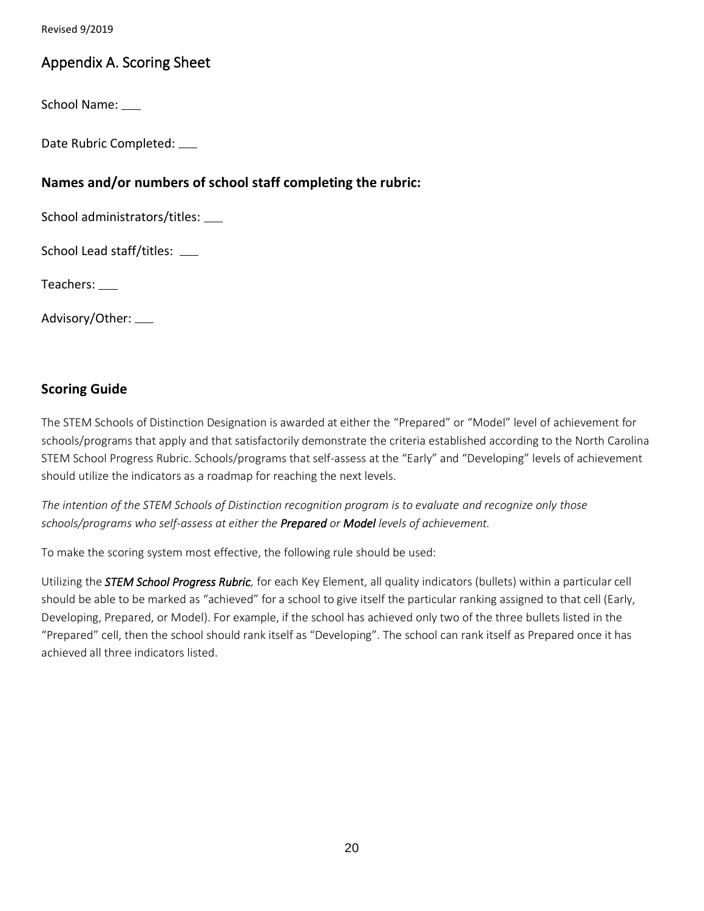## Appendix A. Scoring Sheet

School Name:

Date Rubric Completed:

## **Names and/or numbers of school staff completing the rubric:**

School administrators/titles:

School Lead staff/titles:

Teachers:

Advisory/Other:

### **Scoring Guide**

The STEM Schools of Distinction Designation is awarded at either the "Prepared" or "Model" level of achievement for schools/programs that apply and that satisfactorily demonstrate the criteria established according to the North Carolina STEM School Progress Rubric. Schools/programs that self-assess at the "Early" and "Developing" levels of achievement should utilize the indicators as a roadmap for reaching the next levels.

*The intention of the STEM Schools of Distinction recognition program is to evaluate and recognize only those schools/programs who self-assess at either the Prepared or Model levels of achievement.*

To make the scoring system most effective, the following rule should be used:

Utilizing the *STEM School Progress Rubric,* for each Key Element, all quality indicators (bullets) within a particular cell should be able to be marked as "achieved" for a school to give itself the particular ranking assigned to that cell (Early, Developing, Prepared, or Model). For example, if the school has achieved only two of the three bullets listed in the "Prepared" cell, then the school should rank itself as "Developing". The school can rank itself as Prepared once it has achieved all three indicators listed.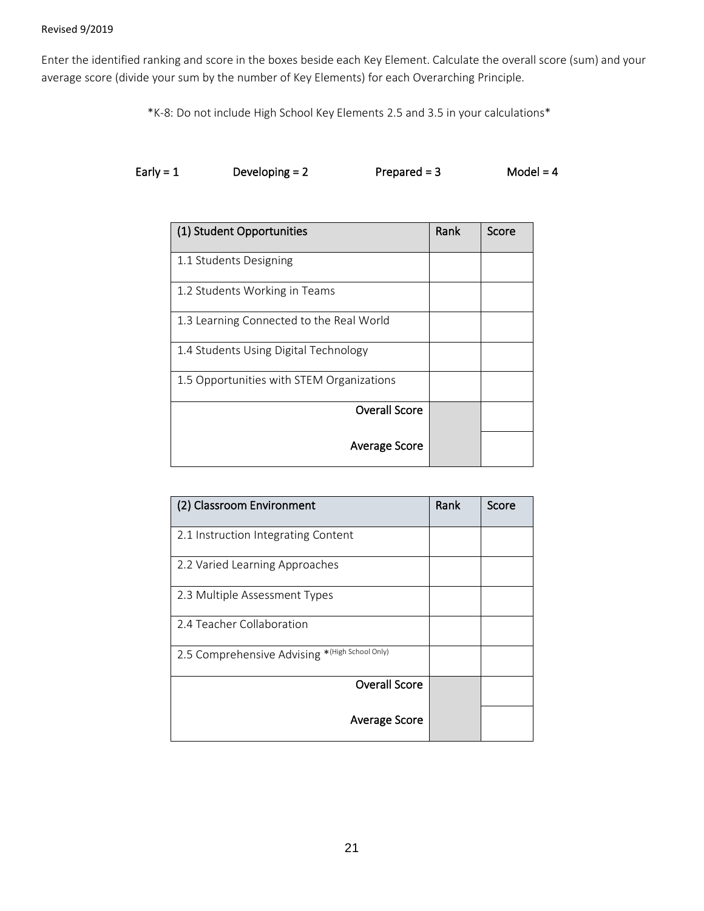Enter the identified ranking and score in the boxes beside each Key Element. Calculate the overall score (sum) and your average score (divide your sum by the number of Key Elements) for each Overarching Principle.

\*K-8: Do not include High School Key Elements 2.5 and 3.5 in your calculations\*

| Early = $1$ | Developing $= 2$ | Prepared $=$ 3 | Model = $4$ |
|-------------|------------------|----------------|-------------|
|-------------|------------------|----------------|-------------|

| (1) Student Opportunities                 | Rank | Score |
|-------------------------------------------|------|-------|
| 1.1 Students Designing                    |      |       |
| 1.2 Students Working in Teams             |      |       |
| 1.3 Learning Connected to the Real World  |      |       |
| 1.4 Students Using Digital Technology     |      |       |
| 1.5 Opportunities with STEM Organizations |      |       |
| Overall Score                             |      |       |
| Average Score                             |      |       |

| (2) Classroom Environment                      | Rank | Score |
|------------------------------------------------|------|-------|
| 2.1 Instruction Integrating Content            |      |       |
| 2.2 Varied Learning Approaches                 |      |       |
| 2.3 Multiple Assessment Types                  |      |       |
| 2.4 Teacher Collaboration                      |      |       |
| 2.5 Comprehensive Advising *(High School Only) |      |       |
| Overall Score                                  |      |       |
| Average Score                                  |      |       |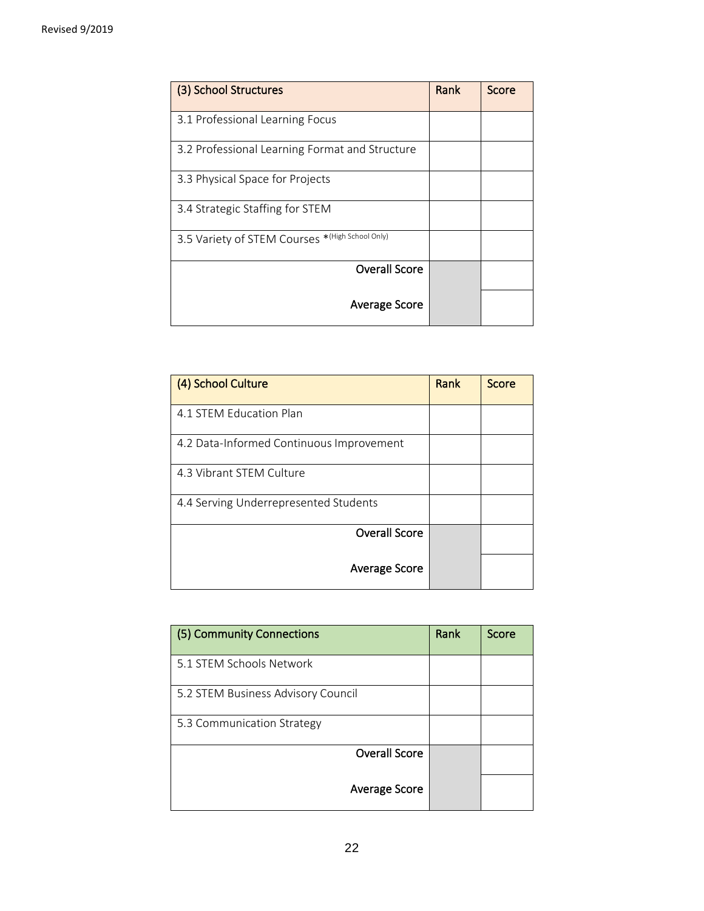| (3) School Structures                           | Rank | Score |
|-------------------------------------------------|------|-------|
| 3.1 Professional Learning Focus                 |      |       |
| 3.2 Professional Learning Format and Structure  |      |       |
| 3.3 Physical Space for Projects                 |      |       |
| 3.4 Strategic Staffing for STEM                 |      |       |
| 3.5 Variety of STEM Courses *(High School Only) |      |       |
| <b>Overall Score</b>                            |      |       |
| Average Score                                   |      |       |

| (4) School Culture                       | Rank | Score |
|------------------------------------------|------|-------|
| 4.1 STEM Education Plan                  |      |       |
| 4.2 Data-Informed Continuous Improvement |      |       |
| 4.3 Vibrant STEM Culture                 |      |       |
| 4.4 Serving Underrepresented Students    |      |       |
| <b>Overall Score</b>                     |      |       |
| <b>Average Score</b>                     |      |       |

| (5) Community Connections          | Rank | Score |
|------------------------------------|------|-------|
| 5.1 STEM Schools Network           |      |       |
| 5.2 STEM Business Advisory Council |      |       |
| 5.3 Communication Strategy         |      |       |
| <b>Overall Score</b>               |      |       |
| Average Score                      |      |       |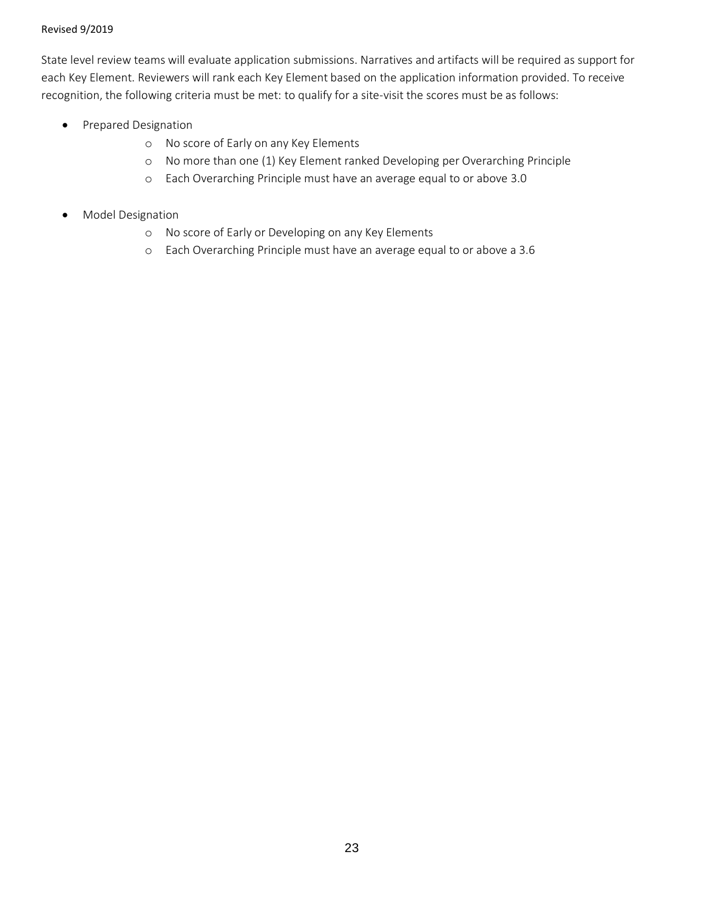State level review teams will evaluate application submissions. Narratives and artifacts will be required as support for each Key Element. Reviewers will rank each Key Element based on the application information provided. To receive recognition, the following criteria must be met: to qualify for a site-visit the scores must be as follows:

- Prepared Designation
	- o No score of Early on any Key Elements
	- o No more than one (1) Key Element ranked Developing per Overarching Principle
	- o Each Overarching Principle must have an average equal to or above 3.0
- Model Designation
	- o No score of Early or Developing on any Key Elements
	- o Each Overarching Principle must have an average equal to or above a 3.6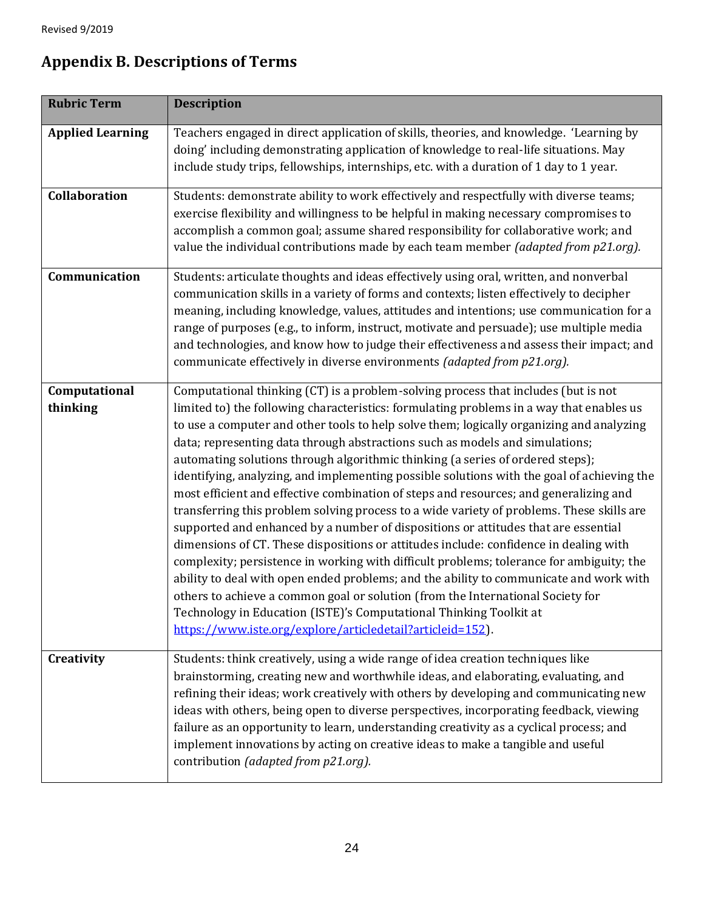| <b>Rubric Term</b>        | <b>Description</b>                                                                                                                                                                                                                                                                                                                                                                                                                                                                                                                                                                                                                                                                                                                                                                                                                                                                                                                                                                                                                                                                                                                                                                                                                                                                                                           |
|---------------------------|------------------------------------------------------------------------------------------------------------------------------------------------------------------------------------------------------------------------------------------------------------------------------------------------------------------------------------------------------------------------------------------------------------------------------------------------------------------------------------------------------------------------------------------------------------------------------------------------------------------------------------------------------------------------------------------------------------------------------------------------------------------------------------------------------------------------------------------------------------------------------------------------------------------------------------------------------------------------------------------------------------------------------------------------------------------------------------------------------------------------------------------------------------------------------------------------------------------------------------------------------------------------------------------------------------------------------|
| <b>Applied Learning</b>   | Teachers engaged in direct application of skills, theories, and knowledge. 'Learning by<br>doing' including demonstrating application of knowledge to real-life situations. May<br>include study trips, fellowships, internships, etc. with a duration of 1 day to 1 year.                                                                                                                                                                                                                                                                                                                                                                                                                                                                                                                                                                                                                                                                                                                                                                                                                                                                                                                                                                                                                                                   |
| Collaboration             | Students: demonstrate ability to work effectively and respectfully with diverse teams;<br>exercise flexibility and willingness to be helpful in making necessary compromises to<br>accomplish a common goal; assume shared responsibility for collaborative work; and<br>value the individual contributions made by each team member (adapted from p21.org).                                                                                                                                                                                                                                                                                                                                                                                                                                                                                                                                                                                                                                                                                                                                                                                                                                                                                                                                                                 |
| Communication             | Students: articulate thoughts and ideas effectively using oral, written, and nonverbal<br>communication skills in a variety of forms and contexts; listen effectively to decipher<br>meaning, including knowledge, values, attitudes and intentions; use communication for a<br>range of purposes (e.g., to inform, instruct, motivate and persuade); use multiple media<br>and technologies, and know how to judge their effectiveness and assess their impact; and<br>communicate effectively in diverse environments (adapted from p21.org).                                                                                                                                                                                                                                                                                                                                                                                                                                                                                                                                                                                                                                                                                                                                                                              |
| Computational<br>thinking | Computational thinking (CT) is a problem-solving process that includes (but is not<br>limited to) the following characteristics: formulating problems in a way that enables us<br>to use a computer and other tools to help solve them; logically organizing and analyzing<br>data; representing data through abstractions such as models and simulations;<br>automating solutions through algorithmic thinking (a series of ordered steps);<br>identifying, analyzing, and implementing possible solutions with the goal of achieving the<br>most efficient and effective combination of steps and resources; and generalizing and<br>transferring this problem solving process to a wide variety of problems. These skills are<br>supported and enhanced by a number of dispositions or attitudes that are essential<br>dimensions of CT. These dispositions or attitudes include: confidence in dealing with<br>complexity; persistence in working with difficult problems; tolerance for ambiguity; the<br>ability to deal with open ended problems; and the ability to communicate and work with<br>others to achieve a common goal or solution (from the International Society for<br>Technology in Education (ISTE)'s Computational Thinking Toolkit at<br>https://www.iste.org/explore/articledetail?articleid=152). |
| Creativity                | Students: think creatively, using a wide range of idea creation techniques like<br>brainstorming, creating new and worthwhile ideas, and elaborating, evaluating, and<br>refining their ideas; work creatively with others by developing and communicating new<br>ideas with others, being open to diverse perspectives, incorporating feedback, viewing<br>failure as an opportunity to learn, understanding creativity as a cyclical process; and<br>implement innovations by acting on creative ideas to make a tangible and useful<br>contribution (adapted from p21.org).                                                                                                                                                                                                                                                                                                                                                                                                                                                                                                                                                                                                                                                                                                                                               |

## **Appendix B. Descriptions of Terms**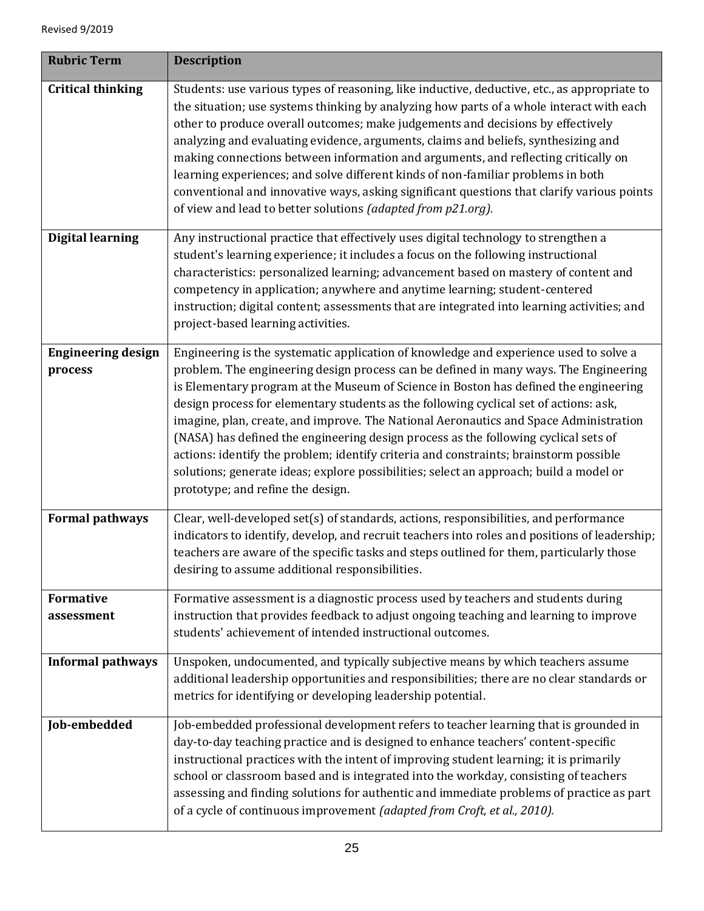| <b>Rubric Term</b>                   | <b>Description</b>                                                                                                                                                                                                                                                                                                                                                                                                                                                                                                                                                                                                                                                                                                                                                     |
|--------------------------------------|------------------------------------------------------------------------------------------------------------------------------------------------------------------------------------------------------------------------------------------------------------------------------------------------------------------------------------------------------------------------------------------------------------------------------------------------------------------------------------------------------------------------------------------------------------------------------------------------------------------------------------------------------------------------------------------------------------------------------------------------------------------------|
| <b>Critical thinking</b>             | Students: use various types of reasoning, like inductive, deductive, etc., as appropriate to<br>the situation; use systems thinking by analyzing how parts of a whole interact with each<br>other to produce overall outcomes; make judgements and decisions by effectively<br>analyzing and evaluating evidence, arguments, claims and beliefs, synthesizing and<br>making connections between information and arguments, and reflecting critically on<br>learning experiences; and solve different kinds of non-familiar problems in both<br>conventional and innovative ways, asking significant questions that clarify various points<br>of view and lead to better solutions (adapted from p21.org).                                                              |
| <b>Digital learning</b>              | Any instructional practice that effectively uses digital technology to strengthen a<br>student's learning experience; it includes a focus on the following instructional<br>characteristics: personalized learning; advancement based on mastery of content and<br>competency in application; anywhere and anytime learning; student-centered<br>instruction; digital content; assessments that are integrated into learning activities; and<br>project-based learning activities.                                                                                                                                                                                                                                                                                     |
| <b>Engineering design</b><br>process | Engineering is the systematic application of knowledge and experience used to solve a<br>problem. The engineering design process can be defined in many ways. The Engineering<br>is Elementary program at the Museum of Science in Boston has defined the engineering<br>design process for elementary students as the following cyclical set of actions: ask,<br>imagine, plan, create, and improve. The National Aeronautics and Space Administration<br>(NASA) has defined the engineering design process as the following cyclical sets of<br>actions: identify the problem; identify criteria and constraints; brainstorm possible<br>solutions; generate ideas; explore possibilities; select an approach; build a model or<br>prototype; and refine the design. |
| <b>Formal pathways</b>               | Clear, well-developed set(s) of standards, actions, responsibilities, and performance<br>indicators to identify, develop, and recruit teachers into roles and positions of leadership;<br>teachers are aware of the specific tasks and steps outlined for them, particularly those<br>desiring to assume additional responsibilities.                                                                                                                                                                                                                                                                                                                                                                                                                                  |
| <b>Formative</b><br>assessment       | Formative assessment is a diagnostic process used by teachers and students during<br>instruction that provides feedback to adjust ongoing teaching and learning to improve<br>students' achievement of intended instructional outcomes.                                                                                                                                                                                                                                                                                                                                                                                                                                                                                                                                |
| <b>Informal pathways</b>             | Unspoken, undocumented, and typically subjective means by which teachers assume<br>additional leadership opportunities and responsibilities; there are no clear standards or<br>metrics for identifying or developing leadership potential.                                                                                                                                                                                                                                                                                                                                                                                                                                                                                                                            |
| Job-embedded                         | Job-embedded professional development refers to teacher learning that is grounded in<br>day-to-day teaching practice and is designed to enhance teachers' content-specific<br>instructional practices with the intent of improving student learning; it is primarily<br>school or classroom based and is integrated into the workday, consisting of teachers<br>assessing and finding solutions for authentic and immediate problems of practice as part<br>of a cycle of continuous improvement (adapted from Croft, et al., 2010).                                                                                                                                                                                                                                   |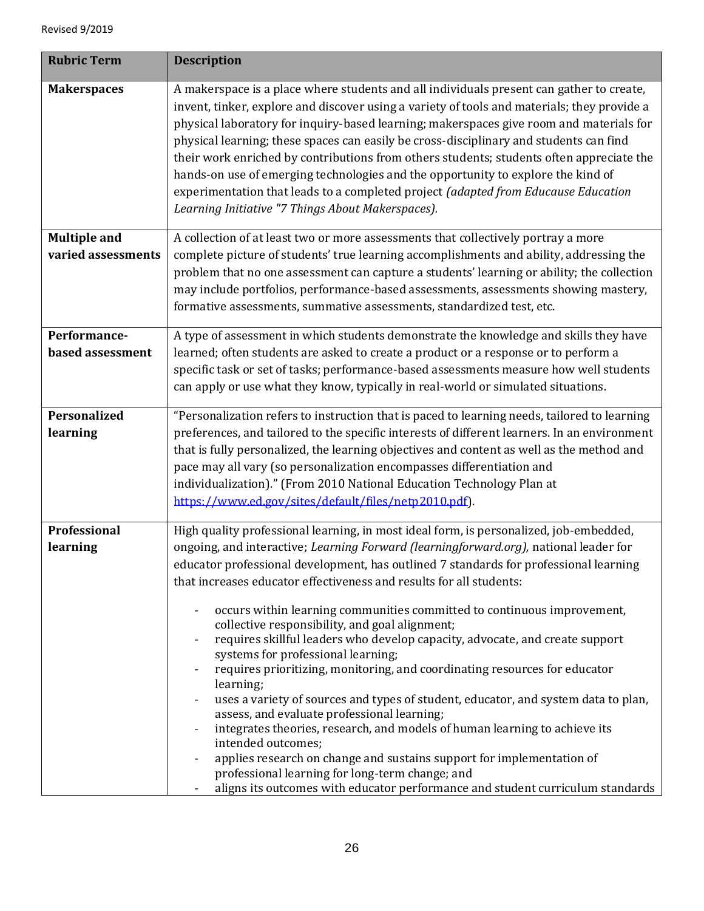| <b>Rubric Term</b>                        | <b>Description</b>                                                                                                                                                                                                                                                                                                                                                                                                                                                                                                                                                                                                                                                                                      |
|-------------------------------------------|---------------------------------------------------------------------------------------------------------------------------------------------------------------------------------------------------------------------------------------------------------------------------------------------------------------------------------------------------------------------------------------------------------------------------------------------------------------------------------------------------------------------------------------------------------------------------------------------------------------------------------------------------------------------------------------------------------|
| <b>Makerspaces</b>                        | A makerspace is a place where students and all individuals present can gather to create,<br>invent, tinker, explore and discover using a variety of tools and materials; they provide a<br>physical laboratory for inquiry-based learning; makerspaces give room and materials for<br>physical learning; these spaces can easily be cross-disciplinary and students can find<br>their work enriched by contributions from others students; students often appreciate the<br>hands-on use of emerging technologies and the opportunity to explore the kind of<br>experimentation that leads to a completed project (adapted from Educause Education<br>Learning Initiative "7 Things About Makerspaces). |
| <b>Multiple and</b><br>varied assessments | A collection of at least two or more assessments that collectively portray a more<br>complete picture of students' true learning accomplishments and ability, addressing the                                                                                                                                                                                                                                                                                                                                                                                                                                                                                                                            |
|                                           | problem that no one assessment can capture a students' learning or ability; the collection<br>may include portfolios, performance-based assessments, assessments showing mastery,<br>formative assessments, summative assessments, standardized test, etc.                                                                                                                                                                                                                                                                                                                                                                                                                                              |
| Performance-                              | A type of assessment in which students demonstrate the knowledge and skills they have                                                                                                                                                                                                                                                                                                                                                                                                                                                                                                                                                                                                                   |
| based assessment                          | learned; often students are asked to create a product or a response or to perform a<br>specific task or set of tasks; performance-based assessments measure how well students                                                                                                                                                                                                                                                                                                                                                                                                                                                                                                                           |
|                                           | can apply or use what they know, typically in real-world or simulated situations.                                                                                                                                                                                                                                                                                                                                                                                                                                                                                                                                                                                                                       |
| <b>Personalized</b>                       | "Personalization refers to instruction that is paced to learning needs, tailored to learning                                                                                                                                                                                                                                                                                                                                                                                                                                                                                                                                                                                                            |
| learning                                  | preferences, and tailored to the specific interests of different learners. In an environment                                                                                                                                                                                                                                                                                                                                                                                                                                                                                                                                                                                                            |
|                                           | that is fully personalized, the learning objectives and content as well as the method and<br>pace may all vary (so personalization encompasses differentiation and                                                                                                                                                                                                                                                                                                                                                                                                                                                                                                                                      |
|                                           | individualization)." (From 2010 National Education Technology Plan at                                                                                                                                                                                                                                                                                                                                                                                                                                                                                                                                                                                                                                   |
|                                           | https://www.ed.gov/sites/default/files/netp2010.pdf).                                                                                                                                                                                                                                                                                                                                                                                                                                                                                                                                                                                                                                                   |
| Professional                              | High quality professional learning, in most ideal form, is personalized, job-embedded,                                                                                                                                                                                                                                                                                                                                                                                                                                                                                                                                                                                                                  |
| learning                                  | ongoing, and interactive; Learning Forward (learningforward.org), national leader for                                                                                                                                                                                                                                                                                                                                                                                                                                                                                                                                                                                                                   |
|                                           | educator professional development, has outlined 7 standards for professional learning                                                                                                                                                                                                                                                                                                                                                                                                                                                                                                                                                                                                                   |
|                                           | that increases educator effectiveness and results for all students:                                                                                                                                                                                                                                                                                                                                                                                                                                                                                                                                                                                                                                     |
|                                           | occurs within learning communities committed to continuous improvement,                                                                                                                                                                                                                                                                                                                                                                                                                                                                                                                                                                                                                                 |
|                                           | collective responsibility, and goal alignment;                                                                                                                                                                                                                                                                                                                                                                                                                                                                                                                                                                                                                                                          |
|                                           | requires skillful leaders who develop capacity, advocate, and create support<br>systems for professional learning;                                                                                                                                                                                                                                                                                                                                                                                                                                                                                                                                                                                      |
|                                           | requires prioritizing, monitoring, and coordinating resources for educator                                                                                                                                                                                                                                                                                                                                                                                                                                                                                                                                                                                                                              |
|                                           | learning;                                                                                                                                                                                                                                                                                                                                                                                                                                                                                                                                                                                                                                                                                               |
|                                           | uses a variety of sources and types of student, educator, and system data to plan,                                                                                                                                                                                                                                                                                                                                                                                                                                                                                                                                                                                                                      |
|                                           | assess, and evaluate professional learning;<br>integrates theories, research, and models of human learning to achieve its                                                                                                                                                                                                                                                                                                                                                                                                                                                                                                                                                                               |
|                                           | intended outcomes;                                                                                                                                                                                                                                                                                                                                                                                                                                                                                                                                                                                                                                                                                      |
|                                           | applies research on change and sustains support for implementation of                                                                                                                                                                                                                                                                                                                                                                                                                                                                                                                                                                                                                                   |
|                                           | professional learning for long-term change; and                                                                                                                                                                                                                                                                                                                                                                                                                                                                                                                                                                                                                                                         |
|                                           | aligns its outcomes with educator performance and student curriculum standards                                                                                                                                                                                                                                                                                                                                                                                                                                                                                                                                                                                                                          |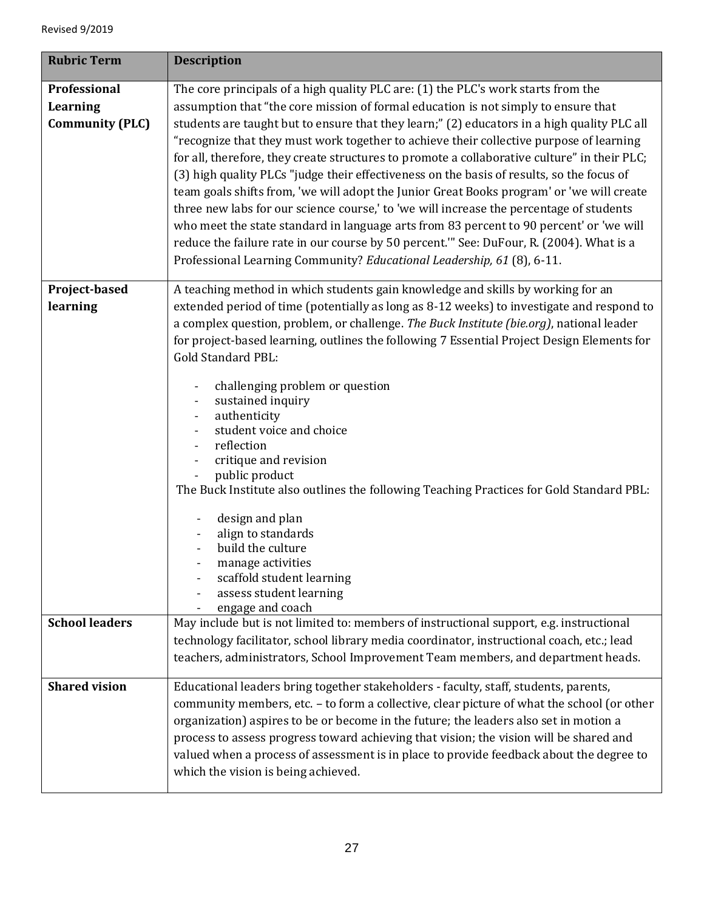| <b>Rubric Term</b>                                        | <b>Description</b>                                                                                                                                                                                                                                                                                                                                                                                                                                                                                                                                                                                                                                                                                                                                                                                                                                                                                                                                                                                                     |
|-----------------------------------------------------------|------------------------------------------------------------------------------------------------------------------------------------------------------------------------------------------------------------------------------------------------------------------------------------------------------------------------------------------------------------------------------------------------------------------------------------------------------------------------------------------------------------------------------------------------------------------------------------------------------------------------------------------------------------------------------------------------------------------------------------------------------------------------------------------------------------------------------------------------------------------------------------------------------------------------------------------------------------------------------------------------------------------------|
| Professional<br><b>Learning</b><br><b>Community (PLC)</b> | The core principals of a high quality PLC are: (1) the PLC's work starts from the<br>assumption that "the core mission of formal education is not simply to ensure that<br>students are taught but to ensure that they learn;" (2) educators in a high quality PLC all<br>"recognize that they must work together to achieve their collective purpose of learning<br>for all, therefore, they create structures to promote a collaborative culture" in their PLC;<br>(3) high quality PLCs "judge their effectiveness on the basis of results, so the focus of<br>team goals shifts from, 'we will adopt the Junior Great Books program' or 'we will create<br>three new labs for our science course,' to 'we will increase the percentage of students<br>who meet the state standard in language arts from 83 percent to 90 percent' or 'we will<br>reduce the failure rate in our course by 50 percent." See: DuFour, R. (2004). What is a<br>Professional Learning Community? Educational Leadership, 61 (8), 6-11. |
| Project-based<br>learning                                 | A teaching method in which students gain knowledge and skills by working for an<br>extended period of time (potentially as long as 8-12 weeks) to investigate and respond to<br>a complex question, problem, or challenge. The Buck Institute (bie.org), national leader<br>for project-based learning, outlines the following 7 Essential Project Design Elements for<br><b>Gold Standard PBL:</b><br>challenging problem or question<br>sustained inquiry<br>authenticity<br>student voice and choice<br>reflection<br>critique and revision<br>public product<br>The Buck Institute also outlines the following Teaching Practices for Gold Standard PBL:<br>design and plan<br>align to standards<br>build the culture<br>manage activities<br>scaffold student learning<br>assess student learning<br>engage and coach                                                                                                                                                                                            |
| <b>School leaders</b>                                     | May include but is not limited to: members of instructional support, e.g. instructional<br>technology facilitator, school library media coordinator, instructional coach, etc.; lead<br>teachers, administrators, School Improvement Team members, and department heads.                                                                                                                                                                                                                                                                                                                                                                                                                                                                                                                                                                                                                                                                                                                                               |
| <b>Shared vision</b>                                      | Educational leaders bring together stakeholders - faculty, staff, students, parents,<br>community members, etc. - to form a collective, clear picture of what the school (or other<br>organization) aspires to be or become in the future; the leaders also set in motion a<br>process to assess progress toward achieving that vision; the vision will be shared and<br>valued when a process of assessment is in place to provide feedback about the degree to<br>which the vision is being achieved.                                                                                                                                                                                                                                                                                                                                                                                                                                                                                                                |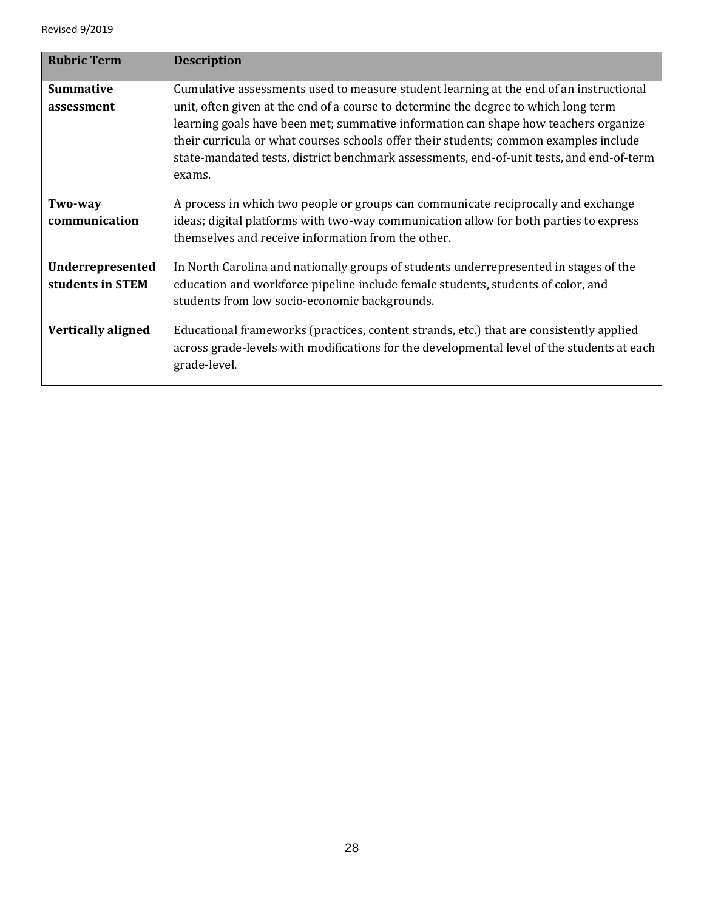| <b>Rubric Term</b>                   | <b>Description</b>                                                                                                                                                                                                                                                                                                                                                                                                                                                  |
|--------------------------------------|---------------------------------------------------------------------------------------------------------------------------------------------------------------------------------------------------------------------------------------------------------------------------------------------------------------------------------------------------------------------------------------------------------------------------------------------------------------------|
| <b>Summative</b><br>assessment       | Cumulative assessments used to measure student learning at the end of an instructional<br>unit, often given at the end of a course to determine the degree to which long term<br>learning goals have been met; summative information can shape how teachers organize<br>their curricula or what courses schools offer their students; common examples include<br>state-mandated tests, district benchmark assessments, end-of-unit tests, and end-of-term<br>exams. |
| Two-way<br>communication             | A process in which two people or groups can communicate reciprocally and exchange<br>ideas; digital platforms with two-way communication allow for both parties to express<br>themselves and receive information from the other.                                                                                                                                                                                                                                    |
| Underrepresented<br>students in STEM | In North Carolina and nationally groups of students underrepresented in stages of the<br>education and workforce pipeline include female students, students of color, and<br>students from low socio-economic backgrounds.                                                                                                                                                                                                                                          |
| <b>Vertically aligned</b>            | Educational frameworks (practices, content strands, etc.) that are consistently applied<br>across grade-levels with modifications for the developmental level of the students at each<br>grade-level.                                                                                                                                                                                                                                                               |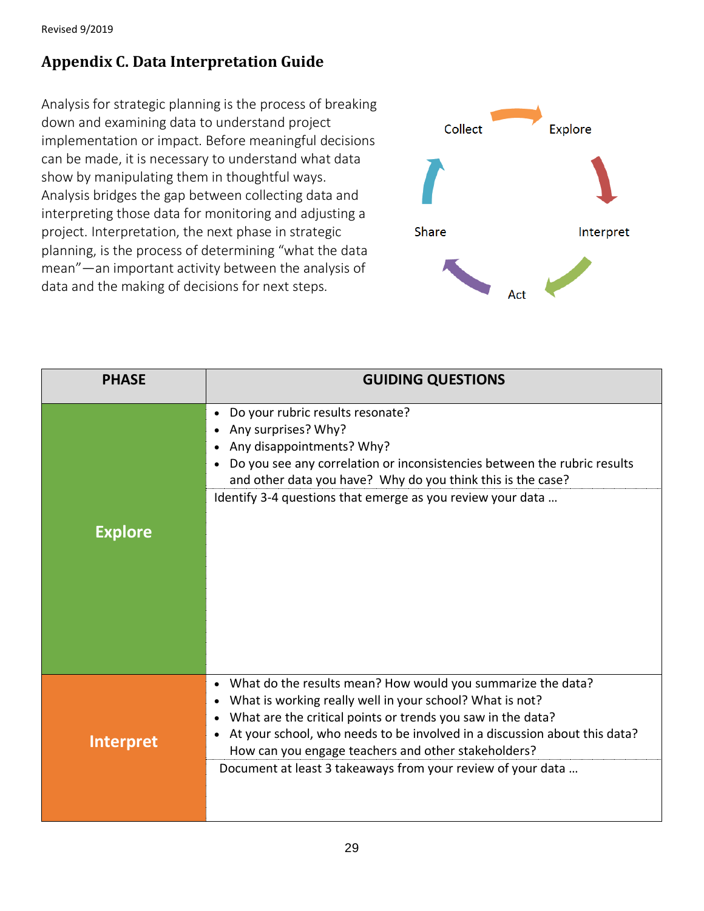## **Appendix C. Data Interpretation Guide**

Analysis for strategic planning is the process of breaking down and examining data to understand project implementation or impact. Before meaningful decisions can be made, it is necessary to understand what data show by manipulating them in thoughtful ways. Analysis bridges the gap between collecting data and interpreting those data for monitoring and adjusting a project. Interpretation, the next phase in strategic planning, is the process of determining "what the data mean"—an important activity between the analysis of data and the making of decisions for next steps.



| <b>PHASE</b>     | <b>GUIDING QUESTIONS</b>                                                                                                                                                                                                                                                                                                                                                                  |
|------------------|-------------------------------------------------------------------------------------------------------------------------------------------------------------------------------------------------------------------------------------------------------------------------------------------------------------------------------------------------------------------------------------------|
| <b>Explore</b>   | Do your rubric results resonate?<br>Any surprises? Why?<br>Any disappointments? Why?<br>Do you see any correlation or inconsistencies between the rubric results<br>and other data you have? Why do you think this is the case?<br>Identify 3-4 questions that emerge as you review your data                                                                                             |
| <b>Interpret</b> | What do the results mean? How would you summarize the data?<br>What is working really well in your school? What is not?<br>What are the critical points or trends you saw in the data?<br>At your school, who needs to be involved in a discussion about this data?<br>How can you engage teachers and other stakeholders?<br>Document at least 3 takeaways from your review of your data |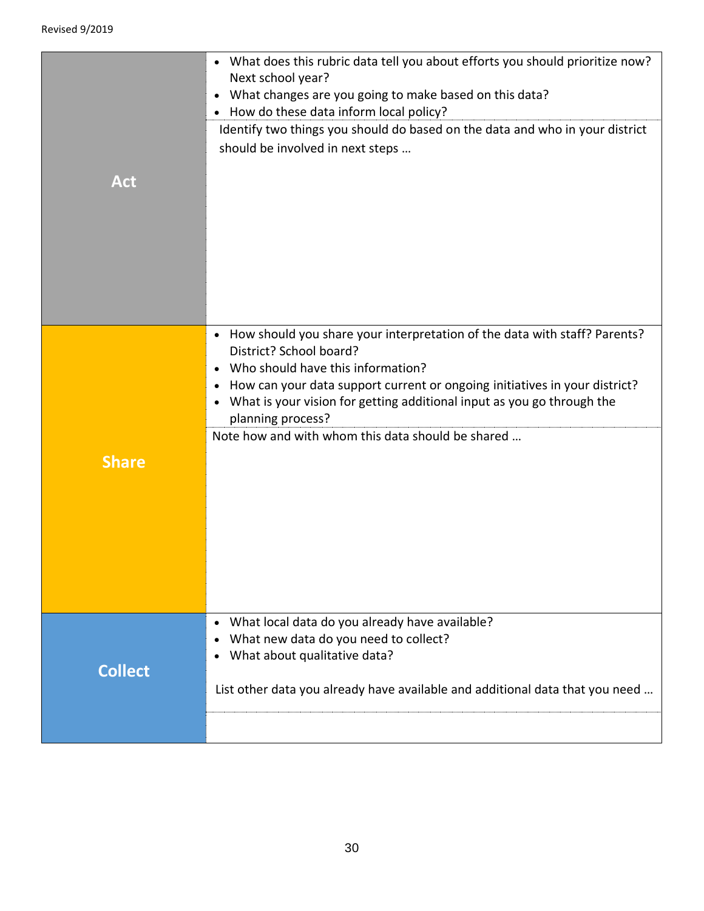|                | • What does this rubric data tell you about efforts you should prioritize now?<br>Next school year?<br>• What changes are you going to make based on this data?<br>• How do these data inform local policy?<br>Identify two things you should do based on the data and who in your district<br>should be involved in next steps                                                                         |
|----------------|---------------------------------------------------------------------------------------------------------------------------------------------------------------------------------------------------------------------------------------------------------------------------------------------------------------------------------------------------------------------------------------------------------|
| <b>Act</b>     |                                                                                                                                                                                                                                                                                                                                                                                                         |
| <b>Share</b>   | • How should you share your interpretation of the data with staff? Parents?<br>District? School board?<br>Who should have this information?<br>How can your data support current or ongoing initiatives in your district?<br>$\bullet$<br>What is your vision for getting additional input as you go through the<br>$\bullet$<br>planning process?<br>Note how and with whom this data should be shared |
| <b>Collect</b> | What local data do you already have available?<br>$\bullet$<br>What new data do you need to collect?<br>What about qualitative data?<br>$\bullet$<br>List other data you already have available and additional data that you need                                                                                                                                                                       |